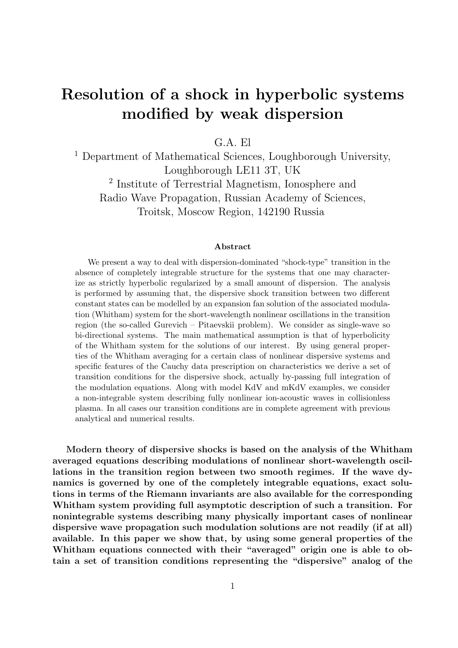# Resolution of a shock in hyperbolic systems modified by weak dispersion

G.A. El

<sup>1</sup> Department of Mathematical Sciences, Loughborough University, Loughborough LE11 3T, UK 2 Institute of Terrestrial Magnetism, Ionosphere and Radio Wave Propagation, Russian Academy of Sciences, Troitsk, Moscow Region, 142190 Russia

#### Abstract

We present a way to deal with dispersion-dominated "shock-type" transition in the absence of completely integrable structure for the systems that one may characterize as strictly hyperbolic regularized by a small amount of dispersion. The analysis is performed by assuming that, the dispersive shock transition between two different constant states can be modelled by an expansion fan solution of the associated modulation (Whitham) system for the short-wavelength nonlinear oscillations in the transition region (the so-called Gurevich – Pitaevskii problem). We consider as single-wave so bi-directional systems. The main mathematical assumption is that of hyperbolicity of the Whitham system for the solutions of our interest. By using general properties of the Whitham averaging for a certain class of nonlinear dispersive systems and specific features of the Cauchy data prescription on characteristics we derive a set of transition conditions for the dispersive shock, actually by-passing full integration of the modulation equations. Along with model KdV and mKdV examples, we consider a non-integrable system describing fully nonlinear ion-acoustic waves in collisionless plasma. In all cases our transition conditions are in complete agreement with previous analytical and numerical results.

Modern theory of dispersive shocks is based on the analysis of the Whitham averaged equations describing modulations of nonlinear short-wavelength oscillations in the transition region between two smooth regimes. If the wave dynamics is governed by one of the completely integrable equations, exact solutions in terms of the Riemann invariants are also available for the corresponding Whitham system providing full asymptotic description of such a transition. For nonintegrable systems describing many physically important cases of nonlinear dispersive wave propagation such modulation solutions are not readily (if at all) available. In this paper we show that, by using some general properties of the Whitham equations connected with their "averaged" origin one is able to obtain a set of transition conditions representing the "dispersive" analog of the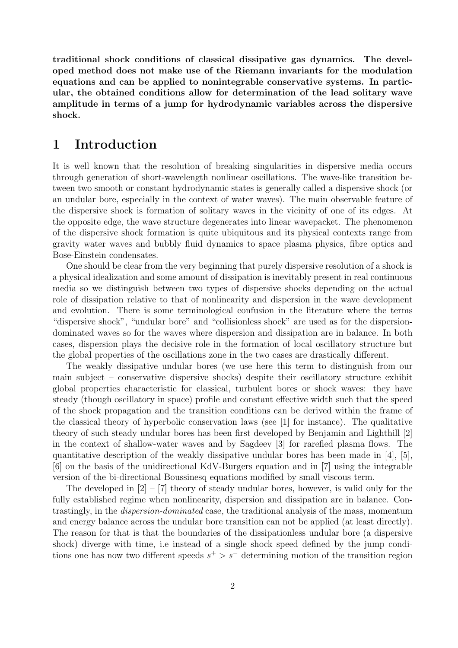traditional shock conditions of classical dissipative gas dynamics. The developed method does not make use of the Riemann invariants for the modulation equations and can be applied to nonintegrable conservative systems. In particular, the obtained conditions allow for determination of the lead solitary wave amplitude in terms of a jump for hydrodynamic variables across the dispersive shock.

### 1 Introduction

It is well known that the resolution of breaking singularities in dispersive media occurs through generation of short-wavelength nonlinear oscillations. The wave-like transition between two smooth or constant hydrodynamic states is generally called a dispersive shock (or an undular bore, especially in the context of water waves). The main observable feature of the dispersive shock is formation of solitary waves in the vicinity of one of its edges. At the opposite edge, the wave structure degenerates into linear wavepacket. The phenomenon of the dispersive shock formation is quite ubiquitous and its physical contexts range from gravity water waves and bubbly fluid dynamics to space plasma physics, fibre optics and Bose-Einstein condensates.

One should be clear from the very beginning that purely dispersive resolution of a shock is a physical idealization and some amount of dissipation is inevitably present in real continuous media so we distinguish between two types of dispersive shocks depending on the actual role of dissipation relative to that of nonlinearity and dispersion in the wave development and evolution. There is some terminological confusion in the literature where the terms "dispersive shock", "undular bore" and "collisionless shock" are used as for the dispersiondominated waves so for the waves where dispersion and dissipation are in balance. In both cases, dispersion plays the decisive role in the formation of local oscillatory structure but the global properties of the oscillations zone in the two cases are drastically different.

The weakly dissipative undular bores (we use here this term to distinguish from our main subject – conservative dispersive shocks) despite their oscillatory structure exhibit global properties characteristic for classical, turbulent bores or shock waves: they have steady (though oscillatory in space) profile and constant effective width such that the speed of the shock propagation and the transition conditions can be derived within the frame of the classical theory of hyperbolic conservation laws (see [1] for instance). The qualitative theory of such steady undular bores has been first developed by Benjamin and Lighthill [2] in the context of shallow-water waves and by Sagdeev [3] for rarefied plasma flows. The quantitative description of the weakly dissipative undular bores has been made in [4], [5], [6] on the basis of the unidirectional KdV-Burgers equation and in [7] using the integrable version of the bi-directional Boussinesq equations modified by small viscous term.

The developed in  $[2] - [7]$  theory of steady undular bores, however, is valid only for the fully established regime when nonlinearity, dispersion and dissipation are in balance. Contrastingly, in the dispersion-dominated case, the traditional analysis of the mass, momentum and energy balance across the undular bore transition can not be applied (at least directly). The reason for that is that the boundaries of the dissipationless undular bore (a dispersive shock) diverge with time, i.e instead of a single shock speed defined by the jump conditions one has now two different speeds  $s^+ > s^-$  determining motion of the transition region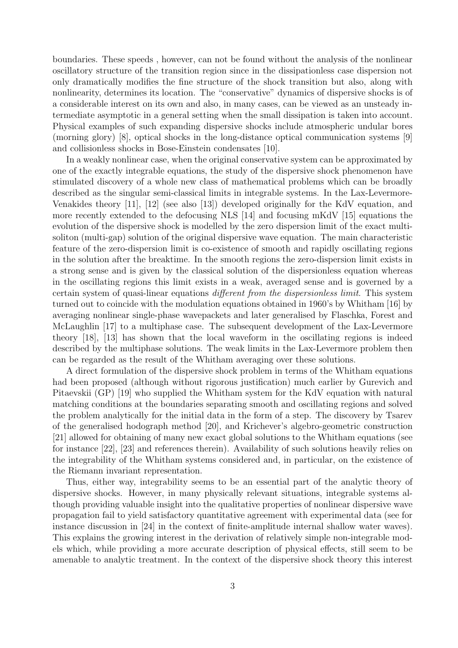boundaries. These speeds , however, can not be found without the analysis of the nonlinear oscillatory structure of the transition region since in the dissipationless case dispersion not only dramatically modifies the fine structure of the shock transition but also, along with nonlinearity, determines its location. The "conservative" dynamics of dispersive shocks is of a considerable interest on its own and also, in many cases, can be viewed as an unsteady intermediate asymptotic in a general setting when the small dissipation is taken into account. Physical examples of such expanding dispersive shocks include atmospheric undular bores (morning glory) [8], optical shocks in the long-distance optical communication systems [9] and collisionless shocks in Bose-Einstein condensates [10].

In a weakly nonlinear case, when the original conservative system can be approximated by one of the exactly integrable equations, the study of the dispersive shock phenomenon have stimulated discovery of a whole new class of mathematical problems which can be broadly described as the singular semi-classical limits in integrable systems. In the Lax-Levermore-Venakides theory [11], [12] (see also [13]) developed originally for the KdV equation, and more recently extended to the defocusing NLS [14] and focusing mKdV [15] equations the evolution of the dispersive shock is modelled by the zero dispersion limit of the exact multisoliton (multi-gap) solution of the original dispersive wave equation. The main characteristic feature of the zero-dispersion limit is co-existence of smooth and rapidly oscillating regions in the solution after the breaktime. In the smooth regions the zero-dispersion limit exists in a strong sense and is given by the classical solution of the dispersionless equation whereas in the oscillating regions this limit exists in a weak, averaged sense and is governed by a certain system of quasi-linear equations different from the dispersionless limit. This system turned out to coincide with the modulation equations obtained in 1960's by Whitham [16] by averaging nonlinear single-phase wavepackets and later generalised by Flaschka, Forest and McLaughlin [17] to a multiphase case. The subsequent development of the Lax-Levermore theory [18], [13] has shown that the local waveform in the oscillating regions is indeed described by the multiphase solutions. The weak limits in the Lax-Levermore problem then can be regarded as the result of the Whitham averaging over these solutions.

A direct formulation of the dispersive shock problem in terms of the Whitham equations had been proposed (although without rigorous justification) much earlier by Gurevich and Pitaevskii (GP) [19] who supplied the Whitham system for the KdV equation with natural matching conditions at the boundaries separating smooth and oscillating regions and solved the problem analytically for the initial data in the form of a step. The discovery by Tsarev of the generalised hodograph method [20], and Krichever's algebro-geometric construction [21] allowed for obtaining of many new exact global solutions to the Whitham equations (see for instance [22], [23] and references therein). Availability of such solutions heavily relies on the integrability of the Whitham systems considered and, in particular, on the existence of the Riemann invariant representation.

Thus, either way, integrability seems to be an essential part of the analytic theory of dispersive shocks. However, in many physically relevant situations, integrable systems although providing valuable insight into the qualitative properties of nonlinear dispersive wave propagation fail to yield satisfactory quantitative agreement with experimental data (see for instance discussion in [24] in the context of finite-amplitude internal shallow water waves). This explains the growing interest in the derivation of relatively simple non-integrable models which, while providing a more accurate description of physical effects, still seem to be amenable to analytic treatment. In the context of the dispersive shock theory this interest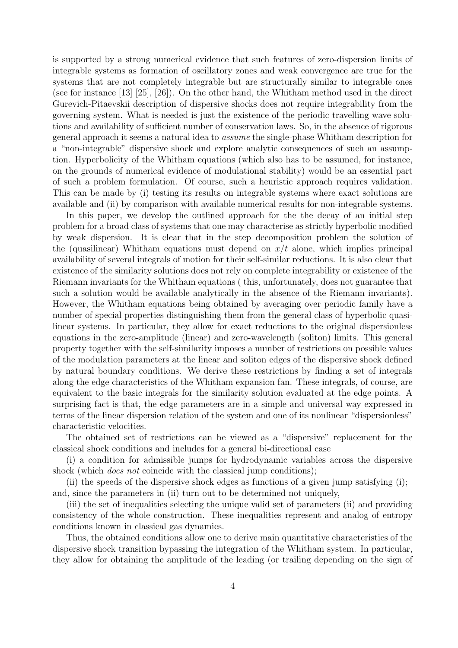is supported by a strong numerical evidence that such features of zero-dispersion limits of integrable systems as formation of oscillatory zones and weak convergence are true for the systems that are not completely integrable but are structurally similar to integrable ones (see for instance [13] [25], [26]). On the other hand, the Whitham method used in the direct Gurevich-Pitaevskii description of dispersive shocks does not require integrability from the governing system. What is needed is just the existence of the periodic travelling wave solutions and availability of sufficient number of conservation laws. So, in the absence of rigorous general approach it seems a natural idea to assume the single-phase Whitham description for a "non-integrable" dispersive shock and explore analytic consequences of such an assumption. Hyperbolicity of the Whitham equations (which also has to be assumed, for instance, on the grounds of numerical evidence of modulational stability) would be an essential part of such a problem formulation. Of course, such a heuristic approach requires validation. This can be made by (i) testing its results on integrable systems where exact solutions are available and (ii) by comparison with available numerical results for non-integrable systems.

In this paper, we develop the outlined approach for the the decay of an initial step problem for a broad class of systems that one may characterise as strictly hyperbolic modified by weak dispersion. It is clear that in the step decomposition problem the solution of the (quasilinear) Whitham equations must depend on  $x/t$  alone, which implies principal availability of several integrals of motion for their self-similar reductions. It is also clear that existence of the similarity solutions does not rely on complete integrability or existence of the Riemann invariants for the Whitham equations ( this, unfortunately, does not guarantee that such a solution would be available analytically in the absence of the Riemann invariants). However, the Whitham equations being obtained by averaging over periodic family have a number of special properties distinguishing them from the general class of hyperbolic quasilinear systems. In particular, they allow for exact reductions to the original dispersionless equations in the zero-amplitude (linear) and zero-wavelength (soliton) limits. This general property together with the self-similarity imposes a number of restrictions on possible values of the modulation parameters at the linear and soliton edges of the dispersive shock defined by natural boundary conditions. We derive these restrictions by finding a set of integrals along the edge characteristics of the Whitham expansion fan. These integrals, of course, are equivalent to the basic integrals for the similarity solution evaluated at the edge points. A surprising fact is that, the edge parameters are in a simple and universal way expressed in terms of the linear dispersion relation of the system and one of its nonlinear "dispersionless" characteristic velocities.

The obtained set of restrictions can be viewed as a "dispersive" replacement for the classical shock conditions and includes for a general bi-directional case

(i) a condition for admissible jumps for hydrodynamic variables across the dispersive shock (which *does not* coincide with the classical jump conditions);

(ii) the speeds of the dispersive shock edges as functions of a given jump satisfying (i); and, since the parameters in (ii) turn out to be determined not uniquely,

(iii) the set of inequalities selecting the unique valid set of parameters (ii) and providing consistency of the whole construction. These inequalities represent and analog of entropy conditions known in classical gas dynamics.

Thus, the obtained conditions allow one to derive main quantitative characteristics of the dispersive shock transition bypassing the integration of the Whitham system. In particular, they allow for obtaining the amplitude of the leading (or trailing depending on the sign of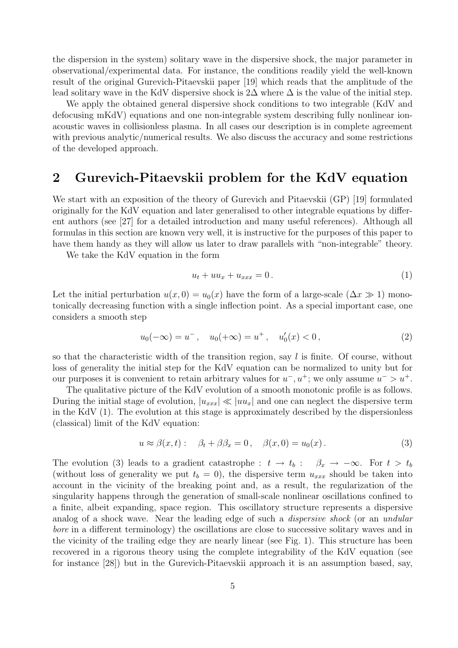the dispersion in the system) solitary wave in the dispersive shock, the major parameter in observational/experimental data. For instance, the conditions readily yield the well-known result of the original Gurevich-Pitaevskii paper [19] which reads that the amplitude of the lead solitary wave in the KdV dispersive shock is  $2\Delta$  where  $\Delta$  is the value of the initial step.

We apply the obtained general dispersive shock conditions to two integrable (KdV and defocusing mKdV) equations and one non-integrable system describing fully nonlinear ionacoustic waves in collisionless plasma. In all cases our description is in complete agreement with previous analytic/numerical results. We also discuss the accuracy and some restrictions of the developed approach.

### 2 Gurevich-Pitaevskii problem for the KdV equation

We start with an exposition of the theory of Gurevich and Pitaevskii (GP) [19] formulated originally for the KdV equation and later generalised to other integrable equations by different authors (see [27] for a detailed introduction and many useful references). Although all formulas in this section are known very well, it is instructive for the purposes of this paper to have them handy as they will allow us later to draw parallels with "non-integrable" theory.

We take the KdV equation in the form

$$
u_t + uu_x + u_{xxx} = 0.
$$
\n<sup>(1)</sup>

Let the initial perturbation  $u(x, 0) = u_0(x)$  have the form of a large-scale  $(\Delta x \gg 1)$  monotonically decreasing function with a single inflection point. As a special important case, one considers a smooth step

$$
u_0(-\infty) = u^-, \quad u_0(+\infty) = u^+, \quad u'_0(x) < 0\,,\tag{2}
$$

so that the characteristic width of the transition region, say  $l$  is finite. Of course, without loss of generality the initial step for the KdV equation can be normalized to unity but for our purposes it is convenient to retain arbitrary values for  $u^-, u^+$ ; we only assume  $u^- > u^+$ .

The qualitative picture of the KdV evolution of a smooth monotonic profile is as follows. During the initial stage of evolution,  $|u_{xxx}| \ll |uu_x|$  and one can neglect the dispersive term in the KdV (1). The evolution at this stage is approximately described by the dispersionless (classical) limit of the KdV equation:

$$
u \approx \beta(x, t): \quad \beta_t + \beta \beta_x = 0, \quad \beta(x, 0) = u_0(x).
$$
 (3)

The evolution (3) leads to a gradient catastrophe :  $t \to t_b$  :  $\beta_x \to -\infty$ . For  $t > t_b$ (without loss of generality we put  $t_b = 0$ ), the dispersive term  $u_{xxx}$  should be taken into account in the vicinity of the breaking point and, as a result, the regularization of the singularity happens through the generation of small-scale nonlinear oscillations confined to a finite, albeit expanding, space region. This oscillatory structure represents a dispersive analog of a shock wave. Near the leading edge of such a *dispersive shock* (or an *undular* bore in a different terminology) the oscillations are close to successive solitary waves and in the vicinity of the trailing edge they are nearly linear (see Fig. 1). This structure has been recovered in a rigorous theory using the complete integrability of the KdV equation (see for instance [28]) but in the Gurevich-Pitaevskii approach it is an assumption based, say,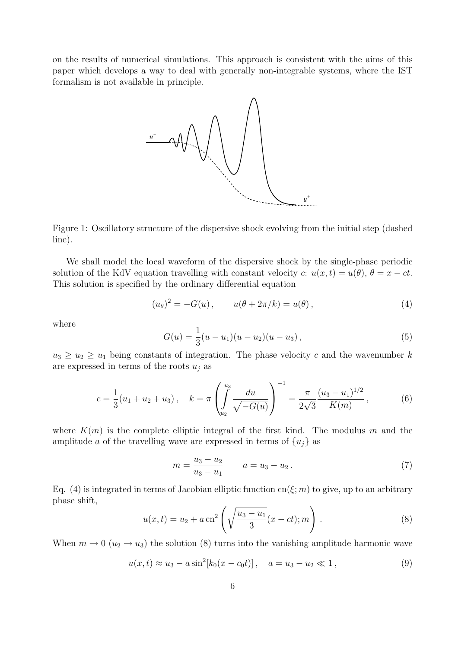on the results of numerical simulations. This approach is consistent with the aims of this paper which develops a way to deal with generally non-integrable systems, where the IST formalism is not available in principle.



Figure 1: Oscillatory structure of the dispersive shock evolving from the initial step (dashed line).

We shall model the local waveform of the dispersive shock by the single-phase periodic solution of the KdV equation travelling with constant velocity c:  $u(x, t) = u(\theta)$ ,  $\theta = x - ct$ . This solution is specified by the ordinary differential equation

$$
(u_{\theta})^2 = -G(u) , \t u(\theta + 2\pi/k) = u(\theta) , \t (4)
$$

where

$$
G(u) = \frac{1}{3}(u - u_1)(u - u_2)(u - u_3), \qquad (5)
$$

 $u_3 \geq u_2 \geq u_1$  being constants of integration. The phase velocity c and the wavenumber k are expressed in terms of the roots  $u_j$  as

$$
c = \frac{1}{3}(u_1 + u_2 + u_3), \quad k = \pi \left( \int_{u_2}^{u_3} \frac{du}{\sqrt{-G(u)}} \right)^{-1} = \frac{\pi}{2\sqrt{3}} \frac{(u_3 - u_1)^{1/2}}{K(m)}, \quad (6)
$$

where  $K(m)$  is the complete elliptic integral of the first kind. The modulus m and the amplitude a of the travelling wave are expressed in terms of  $\{u_i\}$  as

$$
m = \frac{u_3 - u_2}{u_3 - u_1} \qquad a = u_3 - u_2. \tag{7}
$$

Eq. (4) is integrated in terms of Jacobian elliptic function cn( $\xi$ ; m) to give, up to an arbitrary phase shift,  $\lambda$ !<br>}

$$
u(x,t) = u_2 + a \operatorname{cn}^2\left(\sqrt{\frac{u_3 - u_1}{3}}(x - ct); m\right).
$$
 (8)

When  $m \to 0$  ( $u_2 \to u_3$ ) the solution (8) turns into the vanishing amplitude harmonic wave

$$
u(x,t) \approx u_3 - a \sin^2[k_0(x - c_0 t)], \quad a = u_3 - u_2 \ll 1,
$$
\n(9)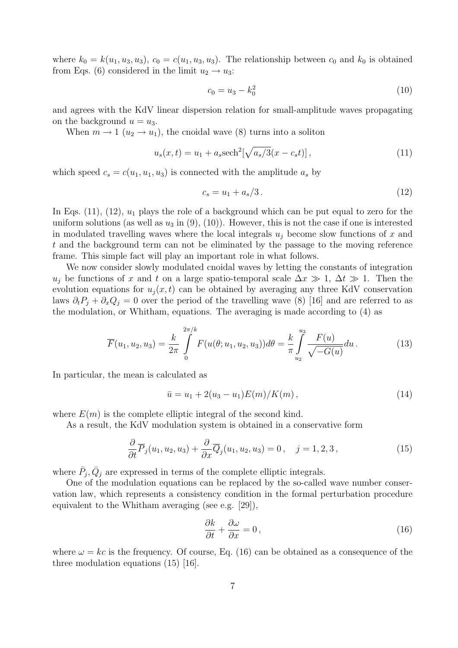where  $k_0 = k(u_1, u_3, u_3), c_0 = c(u_1, u_3, u_3)$ . The relationship between  $c_0$  and  $k_0$  is obtained from Eqs. (6) considered in the limit  $u_2 \rightarrow u_3$ :

$$
c_0 = u_3 - k_0^2 \tag{10}
$$

and agrees with the KdV linear dispersion relation for small-amplitude waves propagating on the background  $u = u_3$ .

When  $m \to 1$   $(u_2 \to u_1)$ , the cnoidal wave (8) turns into a soliton

$$
u_s(x,t) = u_1 + a_s \text{sech}^2[\sqrt{a_s/3}(x - c_s t)],
$$
\n(11)

which speed  $c_s = c(u_1, u_1, u_3)$  is connected with the amplitude  $a_s$  by

$$
c_s = u_1 + a_s/3.
$$
 (12)

In Eqs.  $(11)$ ,  $(12)$ ,  $u_1$  plays the role of a background which can be put equal to zero for the uniform solutions (as well as  $u_3$  in  $(9)$ ,  $(10)$ ). However, this is not the case if one is interested in modulated travelling waves where the local integrals  $u_i$  become slow functions of x and t and the background term can not be eliminated by the passage to the moving reference frame. This simple fact will play an important role in what follows.

We now consider slowly modulated cnoidal waves by letting the constants of integration u<sub>i</sub> be functions of x and t on a large spatio-temporal scale  $\Delta x \gg 1$ ,  $\Delta t \gg 1$ . Then the evolution equations for  $u_i(x, t)$  can be obtained by averaging any three KdV conservation laws  $\partial_t P_i + \partial_x Q_i = 0$  over the period of the travelling wave (8) [16] and are referred to as the modulation, or Whitham, equations. The averaging is made according to (4) as

$$
\overline{F}(u_1, u_2, u_3) = \frac{k}{2\pi} \int_{0}^{2\pi/k} F(u(\theta; u_1, u_2, u_3)) d\theta = \frac{k}{\pi} \int_{u_2}^{u_3} \frac{F(u)}{\sqrt{-G(u)}} du.
$$
\n(13)

In particular, the mean is calculated as

$$
\bar{u} = u_1 + 2(u_3 - u_1)E(m)/K(m), \qquad (14)
$$

where  $E(m)$  is the complete elliptic integral of the second kind.

As a result, the KdV modulation system is obtained in a conservative form

$$
\frac{\partial}{\partial t}\overline{P}_j(u_1, u_2, u_3) + \frac{\partial}{\partial x}\overline{Q}_j(u_1, u_2, u_3) = 0, \quad j = 1, 2, 3,
$$
\n(15)

where  $\bar{P}_j$ ,  $\bar{Q}_j$  are expressed in terms of the complete elliptic integrals.

One of the modulation equations can be replaced by the so-called wave number conservation law, which represents a consistency condition in the formal perturbation procedure equivalent to the Whitham averaging (see e.g. [29]),

$$
\frac{\partial k}{\partial t} + \frac{\partial \omega}{\partial x} = 0, \qquad (16)
$$

where  $\omega = kc$  is the frequency. Of course, Eq. (16) can be obtained as a consequence of the three modulation equations (15) [16].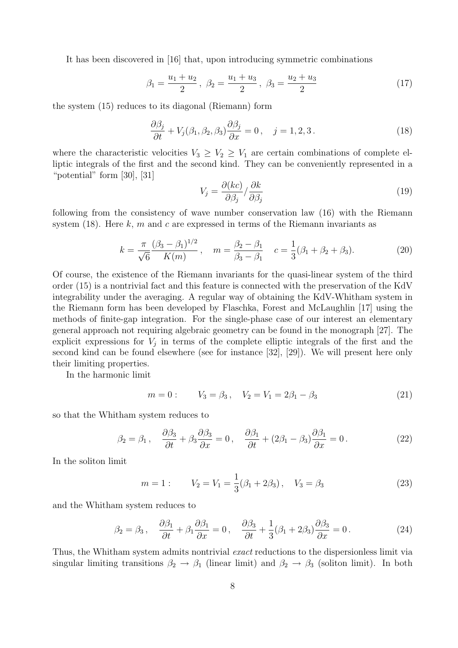It has been discovered in [16] that, upon introducing symmetric combinations

$$
\beta_1 = \frac{u_1 + u_2}{2}, \ \beta_2 = \frac{u_1 + u_3}{2}, \ \beta_3 = \frac{u_2 + u_3}{2} \tag{17}
$$

the system (15) reduces to its diagonal (Riemann) form

$$
\frac{\partial \beta_j}{\partial t} + V_j(\beta_1, \beta_2, \beta_3) \frac{\partial \beta_j}{\partial x} = 0, \quad j = 1, 2, 3.
$$
 (18)

where the characteristic velocities  $V_3 \geq V_2 \geq V_1$  are certain combinations of complete elliptic integrals of the first and the second kind. They can be conveniently represented in a "potential" form [30], [31]

$$
V_j = \frac{\partial (kc)}{\partial \beta_j} / \frac{\partial k}{\partial \beta_j} \tag{19}
$$

following from the consistency of wave number conservation law (16) with the Riemann system (18). Here  $k, m$  and  $c$  are expressed in terms of the Riemann invariants as

$$
k = \frac{\pi}{\sqrt{6}} \frac{(\beta_3 - \beta_1)^{1/2}}{K(m)}, \quad m = \frac{\beta_2 - \beta_1}{\beta_3 - \beta_1} \quad c = \frac{1}{3}(\beta_1 + \beta_2 + \beta_3). \tag{20}
$$

Of course, the existence of the Riemann invariants for the quasi-linear system of the third order (15) is a nontrivial fact and this feature is connected with the preservation of the KdV integrability under the averaging. A regular way of obtaining the KdV-Whitham system in the Riemann form has been developed by Flaschka, Forest and McLaughlin [17] using the methods of finite-gap integration. For the single-phase case of our interest an elementary general approach not requiring algebraic geometry can be found in the monograph [27]. The explicit expressions for  $V_j$  in terms of the complete elliptic integrals of the first and the second kind can be found elsewhere (see for instance [32], [29]). We will present here only their limiting properties.

In the harmonic limit

$$
m = 0:
$$
  $V_3 = \beta_3$ ,  $V_2 = V_1 = 2\beta_1 - \beta_3$  (21)

so that the Whitham system reduces to

$$
\beta_2 = \beta_1, \quad \frac{\partial \beta_3}{\partial t} + \beta_3 \frac{\partial \beta_3}{\partial x} = 0, \quad \frac{\partial \beta_1}{\partial t} + (2\beta_1 - \beta_3) \frac{\partial \beta_1}{\partial x} = 0. \tag{22}
$$

In the soliton limit

$$
m = 1:
$$
  $V_2 = V_1 = \frac{1}{3}(\beta_1 + 2\beta_3), V_3 = \beta_3$  (23)

and the Whitham system reduces to

$$
\beta_2 = \beta_3, \quad \frac{\partial \beta_1}{\partial t} + \beta_1 \frac{\partial \beta_1}{\partial x} = 0, \quad \frac{\partial \beta_3}{\partial t} + \frac{1}{3} (\beta_1 + 2\beta_3) \frac{\partial \beta_3}{\partial x} = 0. \tag{24}
$$

Thus, the Whitham system admits nontrivial exact reductions to the dispersionless limit via singular limiting transitions  $\beta_2 \rightarrow \beta_1$  (linear limit) and  $\beta_2 \rightarrow \beta_3$  (soliton limit). In both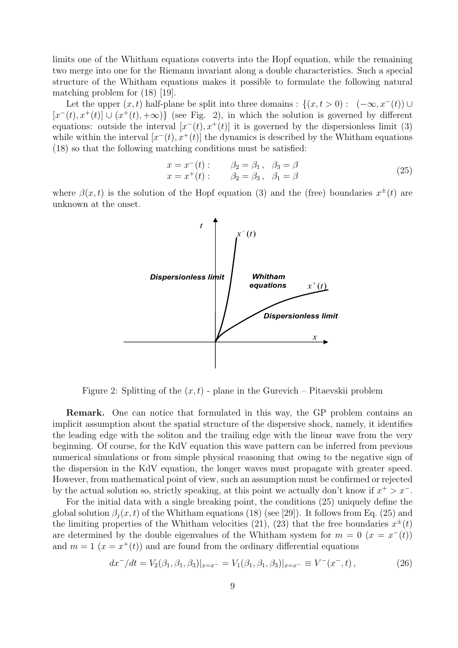limits one of the Whitham equations converts into the Hopf equation, while the remaining two merge into one for the Riemann invariant along a double characteristics. Such a special structure of the Whitham equations makes it possible to formulate the following natural matching problem for (18) [19].

Let the upper  $(x, t)$  half-plane be split into three domains :  $\{(x, t > 0) : (-\infty, x^-(t)) \cup$  $[x^-(t), x^+(t)] \cup (x^+(t), +\infty)$  (see Fig. 2), in which the solution is governed by different equations: outside the interval  $[x^-(t), x^+(t)]$  it is governed by the dispersionless limit (3) while within the interval  $[x^-(t), x^+(t)]$  the dynamics is described by the Whitham equations (18) so that the following matching conditions must be satisfied:

$$
x = x^{-}(t):
$$
  $\beta_{2} = \beta_{1}, \ \beta_{3} = \beta$   
\n $x = x^{+}(t):$   $\beta_{2} = \beta_{3}, \ \beta_{1} = \beta$  (25)

where  $\beta(x,t)$  is the solution of the Hopf equation (3) and the (free) boundaries  $x^{\pm}(t)$  are unknown at the onset.



Figure 2: Splitting of the  $(x, t)$  - plane in the Gurevich – Pitaevskii problem

Remark. One can notice that formulated in this way, the GP problem contains an implicit assumption about the spatial structure of the dispersive shock, namely, it identifies the leading edge with the soliton and the trailing edge with the linear wave from the very beginning. Of course, for the KdV equation this wave pattern can be inferred from previous numerical simulations or from simple physical reasoning that owing to the negative sign of the dispersion in the KdV equation, the longer waves must propagate with greater speed. However, from mathematical point of view, such an assumption must be confirmed or rejected by the actual solution so, strictly speaking, at this point we actually don't know if  $x^+ > x^-$ .

For the initial data with a single breaking point, the conditions (25) uniquely define the global solution  $\beta_i(x, t)$  of the Whitham equations (18) (see [29]). It follows from Eq. (25) and the limiting properties of the Whitham velocities (21), (23) that the free boundaries  $x^{\pm}(t)$ are determined by the double eigenvalues of the Whitham system for  $m = 0$  ( $x = x^{-}(t)$ ) and  $m = 1$   $(x = x^+(t))$  and are found from the ordinary differential equations

$$
dx^{-}/dt = V_2(\beta_1, \beta_1, \beta_3)|_{x=x^{-}} = V_1(\beta_1, \beta_1, \beta_3)|_{x=x^{-}} \equiv V^-(x^-, t) , \qquad (26)
$$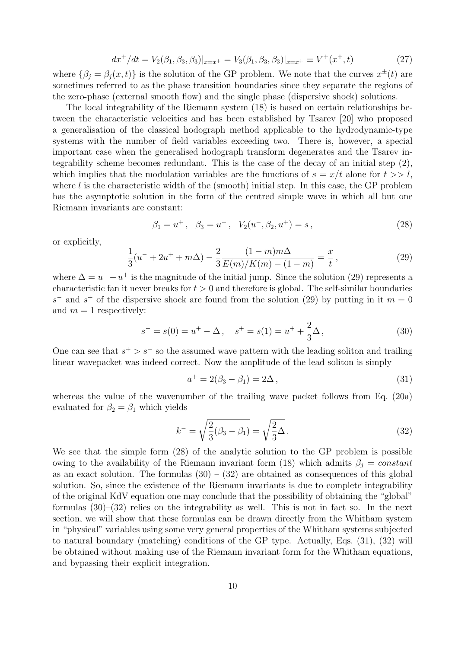$$
dx^{+}/dt = V_{2}(\beta_{1}, \beta_{3}, \beta_{3})|_{x=x^{+}} = V_{3}(\beta_{1}, \beta_{3}, \beta_{3})|_{x=x^{+}} \equiv V^{+}(x^{+}, t)
$$
\n(27)

where  $\{\beta_j = \beta_j(x,t)\}\$ is the solution of the GP problem. We note that the curves  $x^{\pm}(t)$  are sometimes referred to as the phase transition boundaries since they separate the regions of the zero-phase (external smooth flow) and the single phase (dispersive shock) solutions.

The local integrability of the Riemann system (18) is based on certain relationships between the characteristic velocities and has been established by Tsarev [20] who proposed a generalisation of the classical hodograph method applicable to the hydrodynamic-type systems with the number of field variables exceeding two. There is, however, a special important case when the generalised hodograph transform degenerates and the Tsarev integrability scheme becomes redundant. This is the case of the decay of an initial step (2), which implies that the modulation variables are the functions of  $s = x/t$  alone for  $t >> l$ , where  $l$  is the characteristic width of the (smooth) initial step. In this case, the GP problem has the asymptotic solution in the form of the centred simple wave in which all but one Riemann invariants are constant:

$$
\beta_1 = u^+, \quad \beta_3 = u^-, \quad V_2(u^-, \beta_2, u^+) = s \,, \tag{28}
$$

or explicitly,

$$
\frac{1}{3}(u^{-} + 2u^{+} + m\Delta) - \frac{2}{3}\frac{(1-m)m\Delta}{E(m)/K(m) - (1-m)} = \frac{x}{t},
$$
\n(29)

where  $\Delta = u^{-} - u^{+}$  is the magnitude of the initial jump. Since the solution (29) represents a characteristic fan it never breaks for  $t > 0$  and therefore is global. The self-similar boundaries  $s^-$  and  $s^+$  of the dispersive shock are found from the solution (29) by putting in it  $m = 0$ and  $m = 1$  respectively:

$$
s^- = s(0) = u^+ - \Delta \,, \quad s^+ = s(1) = u^+ + \frac{2}{3}\Delta \,, \tag{30}
$$

One can see that  $s^{+} > s^{-}$  so the assumed wave pattern with the leading soliton and trailing linear wavepacket was indeed correct. Now the amplitude of the lead soliton is simply

$$
a^{+} = 2(\beta_3 - \beta_1) = 2\Delta , \qquad (31)
$$

whereas the value of the wavenumber of the trailing wave packet follows from Eq. (20a) evaluated for  $\beta_2 = \beta_1$  which yields

$$
k^{-} = \sqrt{\frac{2}{3}(\beta_3 - \beta_1)} = \sqrt{\frac{2}{3}\Delta}.
$$
\n(32)

We see that the simple form (28) of the analytic solution to the GP problem is possible owing to the availability of the Riemann invariant form (18) which admits  $\beta_j = constant$ as an exact solution. The formulas  $(30) - (32)$  are obtained as consequences of this global solution. So, since the existence of the Riemann invariants is due to complete integrability of the original KdV equation one may conclude that the possibility of obtaining the "global" formulas  $(30)$ – $(32)$  relies on the integrability as well. This is not in fact so. In the next section, we will show that these formulas can be drawn directly from the Whitham system in "physical" variables using some very general properties of the Whitham systems subjected to natural boundary (matching) conditions of the GP type. Actually, Eqs. (31), (32) will be obtained without making use of the Riemann invariant form for the Whitham equations, and bypassing their explicit integration.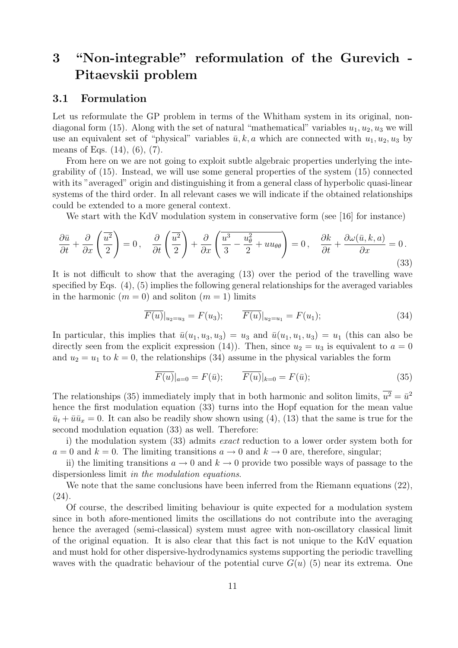## 3 "Non-integrable" reformulation of the Gurevich - Pitaevskii problem

#### 3.1 Formulation

Let us reformulate the GP problem in terms of the Whitham system in its original, nondiagonal form (15). Along with the set of natural "mathematical" variables  $u_1, u_2, u_3$  we will use an equivalent set of "physical" variables  $\bar{u}, k, a$  which are connected with  $u_1, u_2, u_3$  by means of Eqs. (14), (6), (7).

From here on we are not going to exploit subtle algebraic properties underlying the integrability of (15). Instead, we will use some general properties of the system (15) connected with its "averaged" origin and distinguishing it from a general class of hyperbolic quasi-linear systems of the third order. In all relevant cases we will indicate if the obtained relationships could be extended to a more general context.

We start with the KdV modulation system in conservative form (see [16] for instance)

$$
\frac{\partial \bar{u}}{\partial t} + \frac{\partial}{\partial x} \left( \frac{\overline{u^2}}{2} \right) = 0, \quad \frac{\partial}{\partial t} \left( \frac{\overline{u^2}}{2} \right) + \frac{\partial}{\partial x} \left( \frac{\overline{u^3}}{3} - \frac{u_\theta^2}{2} + uu_{\theta\theta} \right) = 0, \quad \frac{\partial k}{\partial t} + \frac{\partial \omega(\bar{u}, k, a)}{\partial x} = 0. \tag{33}
$$

It is not difficult to show that the averaging (13) over the period of the travelling wave specified by Eqs. (4), (5) implies the following general relationships for the averaged variables in the harmonic  $(m = 0)$  and soliton  $(m = 1)$  limits

$$
\overline{F(u)}|_{u_2=u_3} = F(u_3); \qquad \overline{F(u)}|_{u_2=u_1} = F(u_1); \qquad (34)
$$

In particular, this implies that  $\bar{u}(u_1, u_3, u_3) = u_3$  and  $\bar{u}(u_1, u_1, u_3) = u_1$  (this can also be directly seen from the explicit expression (14)). Then, since  $u_2 = u_3$  is equivalent to  $a = 0$ and  $u_2 = u_1$  to  $k = 0$ , the relationships (34) assume in the physical variables the form

$$
\overline{F(u)}|_{a=0} = F(\overline{u}); \qquad \overline{F(u)}|_{k=0} = F(\overline{u}); \tag{35}
$$

The relationships (35) immediately imply that in both harmonic and soliton limits,  $\overline{u^2} = \overline{u}^2$ hence the first modulation equation (33) turns into the Hopf equation for the mean value  $\bar{u}_t + \bar{u}\bar{u}_x = 0$ . It can also be readily show shown using (4), (13) that the same is true for the second modulation equation (33) as well. Therefore:

i) the modulation system (33) admits exact reduction to a lower order system both for  $a = 0$  and  $k = 0$ . The limiting transitions  $a \to 0$  and  $k \to 0$  are, therefore, singular;

ii) the limiting transitions  $a \to 0$  and  $k \to 0$  provide two possible ways of passage to the dispersionless limit in the modulation equations.

We note that the same conclusions have been inferred from the Riemann equations (22), (24).

Of course, the described limiting behaviour is quite expected for a modulation system since in both afore-mentioned limits the oscillations do not contribute into the averaging hence the averaged (semi-classical) system must agree with non-oscillatory classical limit of the original equation. It is also clear that this fact is not unique to the KdV equation and must hold for other dispersive-hydrodynamics systems supporting the periodic travelling waves with the quadratic behaviour of the potential curve  $G(u)$  (5) near its extrema. One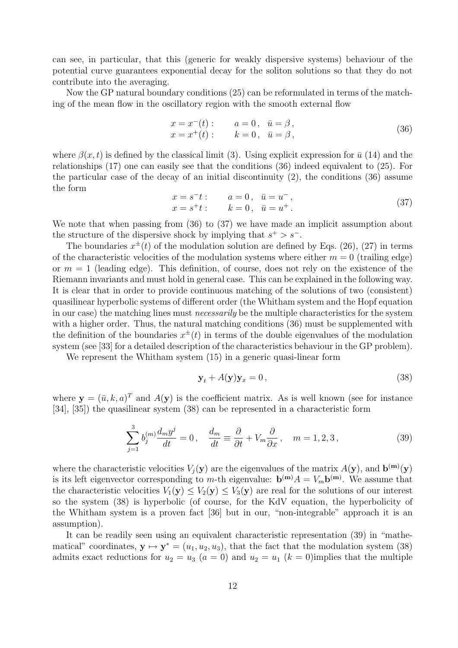can see, in particular, that this (generic for weakly dispersive systems) behaviour of the potential curve guarantees exponential decay for the soliton solutions so that they do not contribute into the averaging.

Now the GP natural boundary conditions (25) can be reformulated in terms of the matching of the mean flow in the oscillatory region with the smooth external flow

$$
x = x^{-}(t):
$$
  $a = 0, \bar{u} = \beta,$   
\n $x = x^{+}(t):$   $k = 0, \bar{u} = \beta,$  (36)

where  $\beta(x, t)$  is defined by the classical limit (3). Using explicit expression for  $\bar{u}$  (14) and the relationships (17) one can easily see that the conditions (36) indeed equivalent to (25). For the particular case of the decay of an initial discontinuity (2), the conditions (36) assume the form

$$
x = s^-t: a = 0, \bar{u} = u^-,x = s^+t: k = 0, \bar{u} = u^+. \qquad (37)
$$

We note that when passing from (36) to (37) we have made an implicit assumption about the structure of the dispersive shock by implying that  $s^+ > s^-$ .

The boundaries  $x^{\pm}(t)$  of the modulation solution are defined by Eqs. (26), (27) in terms of the characteristic velocities of the modulation systems where either  $m = 0$  (trailing edge) or  $m = 1$  (leading edge). This definition, of course, does not rely on the existence of the Riemann invariants and must hold in general case. This can be explained in the following way. It is clear that in order to provide continuous matching of the solutions of two (consistent) quasilinear hyperbolic systems of different order (the Whitham system and the Hopf equation in our case) the matching lines must necessarily be the multiple characteristics for the system with a higher order. Thus, the natural matching conditions  $(36)$  must be supplemented with the definition of the boundaries  $x^{\pm}(t)$  in terms of the double eigenvalues of the modulation system (see [33] for a detailed description of the characteristics behaviour in the GP problem).

We represent the Whitham system  $(15)$  in a generic quasi-linear form

$$
\mathbf{y}_t + A(\mathbf{y})\mathbf{y}_x = 0,\t\t(38)
$$

where  $y = (\bar{u}, k, a)^T$  and  $A(y)$  is the coefficient matrix. As is well known (see for instance [34], [35]) the quasilinear system (38) can be represented in a characteristic form

$$
\sum_{j=1}^{3} b_j^{(m)} \frac{d_m y^j}{dt} = 0, \quad \frac{d_m}{dt} \equiv \frac{\partial}{\partial t} + V_m \frac{\partial}{\partial x}, \quad m = 1, 2, 3,
$$
\n(39)

where the characteristic velocities  $V_j(\mathbf{y})$  are the eigenvalues of the matrix  $A(\mathbf{y})$ , and  $\mathbf{b}^{(\mathbf{m})}(\mathbf{y})$ is its left eigenvector corresponding to m-th eigenvalue:  $\mathbf{b}^{(m)}A = V_m \mathbf{b}^{(m)}$ . We assume that the characteristic velocities  $V_1(\mathbf{y}) \leq V_2(\mathbf{y}) \leq V_3(\mathbf{y})$  are real for the solutions of our interest so the system (38) is hyperbolic (of course, for the KdV equation, the hyperbolicity of the Whitham system is a proven fact [36] but in our, "non-integrable" approach it is an assumption).

It can be readily seen using an equivalent characteristic representation (39) in "mathematical" coordinates,  $y \mapsto y^* = (u_1, u_2, u_3)$ , that the fact that the modulation system (38) admits exact reductions for  $u_2 = u_3$   $(a = 0)$  and  $u_2 = u_1$   $(k = 0)$ implies that the multiple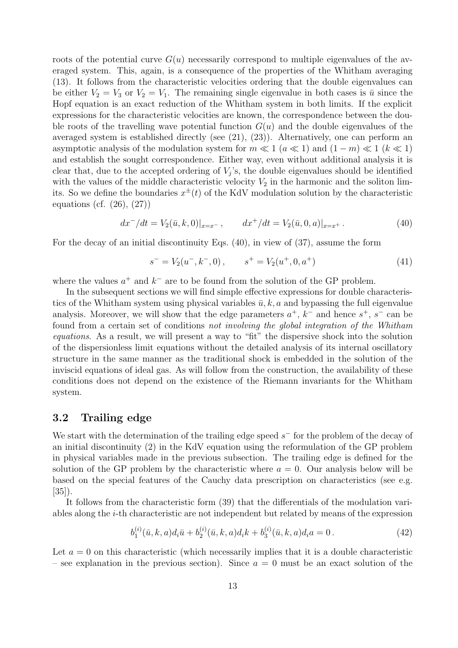roots of the potential curve  $G(u)$  necessarily correspond to multiple eigenvalues of the averaged system. This, again, is a consequence of the properties of the Whitham averaging (13). It follows from the characteristic velocities ordering that the double eigenvalues can be either  $V_2 = V_3$  or  $V_2 = V_1$ . The remaining single eigenvalue in both cases is  $\bar{u}$  since the Hopf equation is an exact reduction of the Whitham system in both limits. If the explicit expressions for the characteristic velocities are known, the correspondence between the double roots of the travelling wave potential function  $G(u)$  and the double eigenvalues of the averaged system is established directly (see (21), (23)). Alternatively, one can perform an asymptotic analysis of the modulation system for  $m \ll 1$  ( $a \ll 1$ ) and  $(1 - m) \ll 1$  ( $k \ll 1$ ) and establish the sought correspondence. Either way, even without additional analysis it is clear that, due to the accepted ordering of  $V_j$ 's, the double eigenvalues should be identified with the values of the middle characteristic velocity  $V_2$  in the harmonic and the soliton limits. So we define the boundaries  $x^{\pm}(t)$  of the KdV modulation solution by the characteristic equations (cf. (26), (27))

$$
dx^{-}/dt = V_2(\bar{u}, k, 0)|_{x=x^{-}}, \qquad dx^{+}/dt = V_2(\bar{u}, 0, a)|_{x=x^{+}}.
$$
\n(40)

For the decay of an initial discontinuity Eqs. (40), in view of (37), assume the form

$$
s^- = V_2(u^-, k^-, 0), \qquad s^+ = V_2(u^+, 0, a^+) \tag{41}
$$

where the values  $a^+$  and  $k^-$  are to be found from the solution of the GP problem.

In the subsequent sections we will find simple effective expressions for double characteristics of the Whitham system using physical variables  $\bar{u}$ , k, a and bypassing the full eigenvalue analysis. Moreover, we will show that the edge parameters  $a^+$ ,  $k^-$  and hence  $s^+$ ,  $s^-$  can be found from a certain set of conditions not involving the global integration of the Whitham equations. As a result, we will present a way to "fit" the dispersive shock into the solution of the dispersionless limit equations without the detailed analysis of its internal oscillatory structure in the same manner as the traditional shock is embedded in the solution of the inviscid equations of ideal gas. As will follow from the construction, the availability of these conditions does not depend on the existence of the Riemann invariants for the Whitham system.

#### 3.2 Trailing edge

We start with the determination of the trailing edge speed  $s^-$  for the problem of the decay of an initial discontinuity (2) in the KdV equation using the reformulation of the GP problem in physical variables made in the previous subsection. The trailing edge is defined for the solution of the GP problem by the characteristic where  $a = 0$ . Our analysis below will be based on the special features of the Cauchy data prescription on characteristics (see e.g. [35]).

It follows from the characteristic form (39) that the differentials of the modulation variables along the i-th characteristic are not independent but related by means of the expression

$$
b_1^{(i)}(\bar{u},k,a)d_i\bar{u} + b_2^{(i)}(\bar{u},k,a)d_i k + b_3^{(i)}(\bar{u},k,a)d_i a = 0.
$$
 (42)

Let  $a = 0$  on this characteristic (which necessarily implies that it is a double characteristic – see explanation in the previous section). Since  $a = 0$  must be an exact solution of the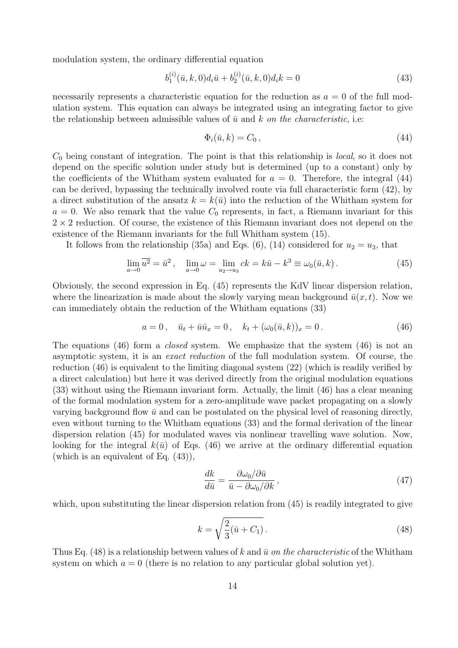modulation system, the ordinary differential equation

$$
b_1^{(i)}(\bar{u},k,0)d_i\bar{u} + b_2^{(i)}(\bar{u},k,0)d_i k = 0
$$
\n(43)

necessarily represents a characteristic equation for the reduction as  $a = 0$  of the full modulation system. This equation can always be integrated using an integrating factor to give the relationship between admissible values of  $\bar{u}$  and k on the characteristic, i.e:

$$
\Phi_i(\bar{u}, k) = C_0 \,,\tag{44}
$$

 $C_0$  being constant of integration. The point is that this relationship is *local*, so it does not depend on the specific solution under study but is determined (up to a constant) only by the coefficients of the Whitham system evaluated for  $a = 0$ . Therefore, the integral (44) can be derived, bypassing the technically involved route via full characteristic form (42), by a direct substitution of the ansatz  $k = k(\bar{u})$  into the reduction of the Whitham system for  $a = 0$ . We also remark that the value  $C_0$  represents, in fact, a Riemann invariant for this  $2 \times 2$  reduction. Of course, the existence of this Riemann invariant does not depend on the existence of the Riemann invariants for the full Whitham system (15).

It follows from the relationship (35a) and Eqs. (6), (14) considered for  $u_2 = u_3$ , that

$$
\lim_{a \to 0} \overline{u^2} = \bar{u}^2, \quad \lim_{a \to 0} \omega = \lim_{u_2 \to u_3} ck = k\bar{u} - k^3 \equiv \omega_0(\bar{u}, k).
$$
 (45)

Obviously, the second expression in Eq. (45) represents the KdV linear dispersion relation, where the linearization is made about the slowly varying mean background  $\bar{u}(x, t)$ . Now we can immediately obtain the reduction of the Whitham equations (33)

$$
a = 0, \quad \bar{u}_t + \bar{u}\bar{u}_x = 0, \quad k_t + (\omega_0(\bar{u}, k))_x = 0.
$$
\n<sup>(46)</sup>

The equations (46) form a *closed* system. We emphasize that the system (46) is not an asymptotic system, it is an exact reduction of the full modulation system. Of course, the reduction (46) is equivalent to the limiting diagonal system (22) (which is readily verified by a direct calculation) but here it was derived directly from the original modulation equations (33) without using the Riemann invariant form. Actually, the limit (46) has a clear meaning of the formal modulation system for a zero-amplitude wave packet propagating on a slowly varying background flow  $\bar{u}$  and can be postulated on the physical level of reasoning directly, even without turning to the Whitham equations (33) and the formal derivation of the linear dispersion relation (45) for modulated waves via nonlinear travelling wave solution. Now, looking for the integral  $k(\bar{u})$  of Eqs. (46) we arrive at the ordinary differential equation (which is an equivalent of Eq. (43)),

$$
\frac{dk}{d\bar{u}} = \frac{\partial \omega_0 / \partial \bar{u}}{\bar{u} - \partial \omega_0 / \partial k},\tag{47}
$$

which, upon substituting the linear dispersion relation from  $(45)$  is readily integrated to give

$$
k = \sqrt{\frac{2}{3}(\bar{u} + C_1)}.
$$
\n(48)

Thus Eq. (48) is a relationship between values of k and  $\bar{u}$  on the characteristic of the Whitham system on which  $a = 0$  (there is no relation to any particular global solution yet).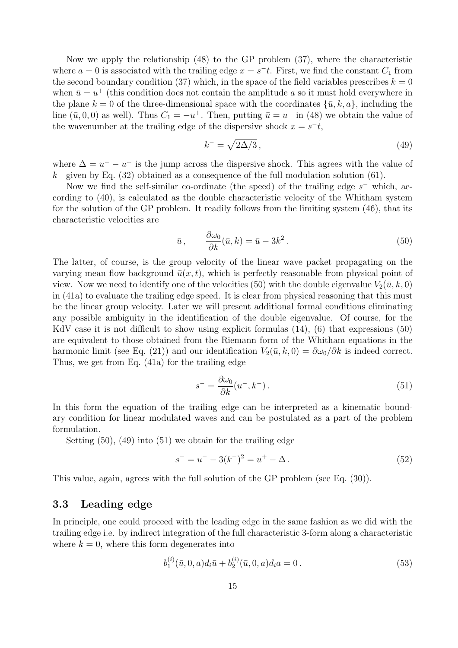Now we apply the relationship (48) to the GP problem (37), where the characteristic where  $a = 0$  is associated with the trailing edge  $x = s<sup>-t</sup>$ . First, we find the constant  $C<sub>1</sub>$  from the second boundary condition (37) which, in the space of the field variables prescribes  $k = 0$ when  $\bar{u} = u^+$  (this condition does not contain the amplitude a so it must hold everywhere in the plane  $k = 0$  of the three-dimensional space with the coordinates  $\{\bar{u}, k, a\}$ , including the line  $(\bar{u}, 0, 0)$  as well). Thus  $C_1 = -u^+$ . Then, putting  $\bar{u} = u^-$  in (48) we obtain the value of the wavenumber at the trailing edge of the dispersive shock  $x = s<sup>-t</sup>$ ,

$$
k^- = \sqrt{2\Delta/3},\tag{49}
$$

where  $\Delta = u^- - u^+$  is the jump across the dispersive shock. This agrees with the value of  $k^-$  given by Eq. (32) obtained as a consequence of the full modulation solution (61).

Now we find the self-similar co-ordinate (the speed) of the trailing edge  $s^-$  which, according to (40), is calculated as the double characteristic velocity of the Whitham system for the solution of the GP problem. It readily follows from the limiting system (46), that its characteristic velocities are

$$
\bar{u}, \qquad \frac{\partial \omega_0}{\partial k}(\bar{u}, k) = \bar{u} - 3k^2. \tag{50}
$$

The latter, of course, is the group velocity of the linear wave packet propagating on the varying mean flow background  $\bar{u}(x, t)$ , which is perfectly reasonable from physical point of view. Now we need to identify one of the velocities (50) with the double eigenvalue  $V_2(\bar{u}, k, 0)$ in (41a) to evaluate the trailing edge speed. It is clear from physical reasoning that this must be the linear group velocity. Later we will present additional formal conditions eliminating any possible ambiguity in the identification of the double eigenvalue. Of course, for the KdV case it is not difficult to show using explicit formulas  $(14)$ ,  $(6)$  that expressions  $(50)$ are equivalent to those obtained from the Riemann form of the Whitham equations in the harmonic limit (see Eq. (21)) and our identification  $V_2(\bar{u}, k, 0) = \partial \omega_0 / \partial k$  is indeed correct. Thus, we get from Eq. (41a) for the trailing edge

$$
s^- = \frac{\partial \omega_0}{\partial k}(u^-, k^-). \tag{51}
$$

In this form the equation of the trailing edge can be interpreted as a kinematic boundary condition for linear modulated waves and can be postulated as a part of the problem formulation.

Setting  $(50)$ ,  $(49)$  into  $(51)$  we obtain for the trailing edge

$$
s^- = u^- - 3(k^-)^2 = u^+ - \Delta.
$$
\n(52)

This value, again, agrees with the full solution of the GP problem (see Eq. (30)).

#### 3.3 Leading edge

In principle, one could proceed with the leading edge in the same fashion as we did with the trailing edge i.e. by indirect integration of the full characteristic 3-form along a characteristic where  $k = 0$ , where this form degenerates into

$$
b_1^{(i)}(\bar{u},0,a)d_i\bar{u} + b_2^{(i)}(\bar{u},0,a)d_ia = 0.
$$
\n(53)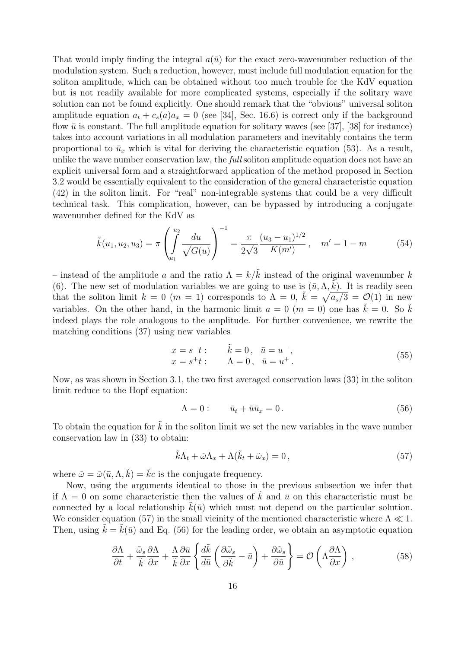That would imply finding the integral  $a(\bar{u})$  for the exact zero-wavenumber reduction of the modulation system. Such a reduction, however, must include full modulation equation for the soliton amplitude, which can be obtained without too much trouble for the KdV equation but is not readily available for more complicated systems, especially if the solitary wave solution can not be found explicitly. One should remark that the "obvious" universal soliton amplitude equation  $a_t + c_s(a)a_x = 0$  (see [34], Sec. 16.6) is correct only if the background flow  $\bar{u}$  is constant. The full amplitude equation for solitary waves (see [37], [38] for instance) takes into account variations in all modulation parameters and inevitably contains the term proportional to  $\bar{u}_x$  which is vital for deriving the characteristic equation (53). As a result, unlike the wave number conservation law, the *full* soliton amplitude equation does not have an explicit universal form and a straightforward application of the method proposed in Section 3.2 would be essentially equivalent to the consideration of the general characteristic equation (42) in the soliton limit. For "real" non-integrable systems that could be a very difficult technical task. This complication, however, can be bypassed by introducing a conjugate wavenumber defined for the KdV as

$$
\tilde{k}(u_1, u_2, u_3) = \pi \left( \int_{u_1}^{u_2} \frac{du}{\sqrt{G(u)}} \right)^{-1} = \frac{\pi}{2\sqrt{3}} \frac{(u_3 - u_1)^{1/2}}{K(m)}, \quad m' = 1 - m \tag{54}
$$

– instead of the amplitude a and the ratio  $\Lambda = k/\tilde{k}$  instead of the original wavenumber k (6). The new set of modulation variables we are going to use is  $(\bar{u}, \Lambda, \tilde{k})$ . It is readily seen that the soliton limit  $k = 0$  ( $m = 1$ ) corresponds to  $\Lambda = 0$ ,  $\tilde{k} = \sqrt{a_s/3} = \mathcal{O}(1)$  in new variables. On the other hand, in the harmonic limit  $a = 0$  ( $m = 0$ ) one has  $\tilde{k} = 0$ . So  $\tilde{k}$ indeed plays the role analogous to the amplitude. For further convenience, we rewrite the matching conditions (37) using new variables

$$
x = s^-t: \t\tilde{k} = 0, \t\bar{u} = u^-,x = s^+t: \t\Lambda = 0, \t\bar{u} = u^+. \t(55)
$$

Now, as was shown in Section 3.1, the two first averaged conservation laws (33) in the soliton limit reduce to the Hopf equation:

$$
\Lambda = 0: \qquad \bar{u}_t + \bar{u}\bar{u}_x = 0. \tag{56}
$$

To obtain the equation for  $\tilde{k}$  in the soliton limit we set the new variables in the wave number conservation law in (33) to obtain:

$$
\tilde{k}\Lambda_t + \tilde{\omega}\Lambda_x + \Lambda(\tilde{k}_t + \tilde{\omega}_x) = 0, \qquad (57)
$$

where  $\tilde{\omega} = \tilde{\omega}(\bar{u}, \Lambda, \tilde{k}) = \tilde{k}c$  is the conjugate frequency.

Now, using the arguments identical to those in the previous subsection we infer that if  $\Lambda = 0$  on some characteristic then the values of  $\tilde{k}$  and  $\bar{u}$  on this characteristic must be connected by a local relationship  $k(\bar{u})$  which must not depend on the particular solution. We consider equation (57) in the small vicinity of the mentioned characteristic where  $\Lambda \ll 1$ . Then, using  $k = k(\bar{u})$  and Eq. (56) for the leading order, we obtain an asymptotic equation

$$
\frac{\partial \Lambda}{\partial t} + \frac{\tilde{\omega}_s}{\tilde{k}} \frac{\partial \Lambda}{\partial x} + \frac{\Lambda}{\tilde{k}} \frac{\partial \bar{u}}{\partial x} \left\{ \frac{d\tilde{k}}{d\bar{u}} \left( \frac{\partial \tilde{\omega}_s}{\partial \tilde{k}} - \bar{u} \right) + \frac{\partial \tilde{\omega}_s}{\partial \bar{u}} \right\} = \mathcal{O}\left(\Lambda \frac{\partial \Lambda}{\partial x}\right) ,\tag{58}
$$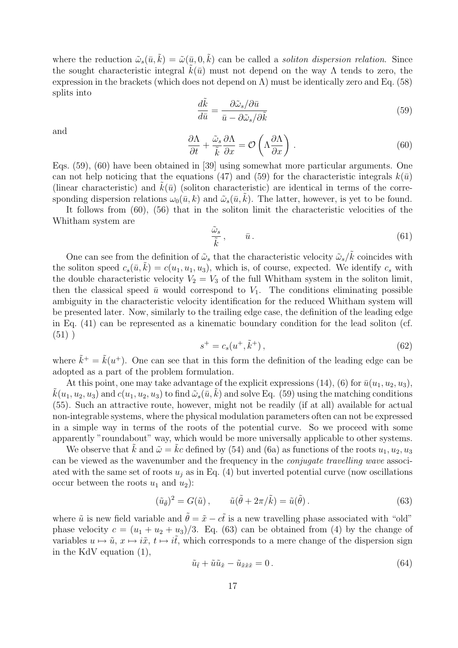where the reduction  $\tilde{\omega}_s(\bar{u}, \tilde{k}) = \tilde{\omega}(\bar{u}, 0, \tilde{k})$  can be called a *soliton dispersion relation*. Since the sought characteristic integral  $k(\bar{u})$  must not depend on the way  $\Lambda$  tends to zero, the expression in the brackets (which does not depend on  $\Lambda$ ) must be identically zero and Eq. (58) splits into

$$
\frac{d\tilde{k}}{d\bar{u}} = \frac{\partial \tilde{\omega}_s / \partial \bar{u}}{\bar{u} - \partial \tilde{\omega}_s / \partial \tilde{k}}
$$
(59)

and

$$
\frac{\partial \Lambda}{\partial t} + \frac{\tilde{\omega}_s}{\tilde{k}} \frac{\partial \Lambda}{\partial x} = \mathcal{O}\left(\Lambda \frac{\partial \Lambda}{\partial x}\right) . \tag{60}
$$

Eqs. (59), (60) have been obtained in [39] using somewhat more particular arguments. One can not help noticing that the equations (47) and (59) for the characteristic integrals  $k(\bar{u})$ (linear characteristic) and  $k(\bar{u})$  (soliton characteristic) are identical in terms of the corresponding dispersion relations  $\omega_0(\bar{u}, k)$  and  $\tilde{\omega}_s(\bar{u}, k)$ . The latter, however, is yet to be found.

It follows from (60), (56) that in the soliton limit the characteristic velocities of the Whitham system are

$$
\frac{\tilde{\omega}_s}{\tilde{k}}, \qquad \bar{u} \,.
$$
\n<sup>(61)</sup>

One can see from the definition of  $\tilde{\omega}_s$  that the characteristic velocity  $\tilde{\omega}_s/\tilde{k}$  coincides with the soliton speed  $c_s(\bar{u}, \tilde{k}) = c(u_1, u_1, u_3)$ , which is, of course, expected. We identify  $c_s$  with the double characteristic velocity  $V_2 = V_3$  of the full Whitham system in the soliton limit, then the classical speed  $\bar{u}$  would correspond to  $V_1$ . The conditions eliminating possible ambiguity in the characteristic velocity identification for the reduced Whitham system will be presented later. Now, similarly to the trailing edge case, the definition of the leading edge in Eq. (41) can be represented as a kinematic boundary condition for the lead soliton (cf.  $(51)$ )

$$
s^{+} = c_{s}(u^{+}, \tilde{k}^{+}), \qquad (62)
$$

where  $\tilde{k}^+ = \tilde{k}(u^+)$ . One can see that in this form the definition of the leading edge can be adopted as a part of the problem formulation.

At this point, one may take advantage of the explicit expressions (14), (6) for  $\bar{u}(u_1, u_2, u_3)$ ,  $\tilde{k}(u_1, u_2, u_3)$  and  $c(u_1, u_2, u_3)$  to find  $\tilde{\omega}_s(\bar{u}, \bar{k})$  and solve Eq. (59) using the matching conditions (55). Such an attractive route, however, might not be readily (if at all) available for actual non-integrable systems, where the physical modulation parameters often can not be expressed in a simple way in terms of the roots of the potential curve. So we proceed with some apparently "roundabout" way, which would be more universally applicable to other systems.

We observe that  $\tilde{k}$  and  $\tilde{\omega} = \tilde{k}c$  defined by (54) and (6a) as functions of the roots  $u_1, u_2, u_3$ can be viewed as the wavenumber and the frequency in the conjugate travelling wave associated with the same set of roots  $u_i$  as in Eq. (4) but inverted potential curve (now oscillations occur between the roots  $u_1$  and  $u_2$ ):

$$
(\tilde{u}_{\tilde{\theta}})^2 = G(\tilde{u}), \qquad \tilde{u}(\tilde{\theta} + 2\pi/\tilde{k}) = \tilde{u}(\tilde{\theta}). \tag{63}
$$

where  $\tilde{u}$  is new field variable and  $\tilde{\theta} = \tilde{x} - c\tilde{t}$  is a new travelling phase associated with "old" phase velocity  $c = (u_1 + u_2 + u_3)/3$ . Eq. (63) can be obtained from (4) by the change of variables  $u \mapsto \tilde{u}$ ,  $x \mapsto i\tilde{x}$ ,  $t \mapsto i\tilde{t}$ , which corresponds to a mere change of the dispersion sign in the KdV equation (1),

$$
\tilde{u}_{\tilde{t}} + \tilde{u}\tilde{u}_{\tilde{x}} - \tilde{u}_{\tilde{x}\tilde{x}\tilde{x}} = 0.
$$
\n
$$
(64)
$$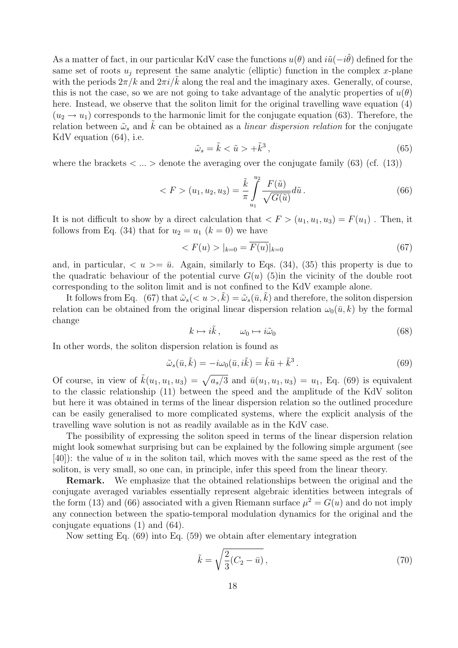As a matter of fact, in our particular KdV case the functions  $u(\theta)$  and  $i\tilde{u}(-i\tilde{\theta})$  defined for the same set of roots  $u_j$  represent the same analytic (elliptic) function in the complex x-plane with the periods  $2\pi/k$  and  $2\pi i/k$  along the real and the imaginary axes. Generally, of course, this is not the case, so we are not going to take advantage of the analytic properties of  $u(\theta)$ here. Instead, we observe that the soliton limit for the original travelling wave equation (4)  $(u_2 \rightarrow u_1)$  corresponds to the harmonic limit for the conjugate equation (63). Therefore, the relation between  $\tilde{\omega}_s$  and  $\tilde{k}$  can be obtained as a *linear dispersion relation* for the conjugate KdV equation (64), i.e.

$$
\tilde{\omega}_s = \tilde{k} < \tilde{u} > +\tilde{k}^3 \,,\tag{65}
$$

where the brackets  $\langle \dots \rangle$  denote the averaging over the conjugate family (63) (cf. (13))

$$
\langle F \rangle (u_1, u_2, u_3) = \frac{\tilde{k}}{\pi} \int_{u_1}^{u_2} \frac{F(\tilde{u})}{\sqrt{G(\tilde{u})}} d\tilde{u} \,. \tag{66}
$$

It is not difficult to show by a direct calculation that  $\langle F \rangle (u_1, u_1, u_3) = F(u_1)$ . Then, it follows from Eq. (34) that for  $u_2 = u_1$  ( $k = 0$ ) we have

$$
\langle F(u) \rangle |_{k=0} = \overline{F(u)}|_{k=0} \tag{67}
$$

and, in particular,  $\langle u \rangle = \bar{u}$ . Again, similarly to Eqs. (34), (35) this property is due to the quadratic behaviour of the potential curve  $G(u)$  (5)in the vicinity of the double root corresponding to the soliton limit and is not confined to the KdV example alone.

It follows from Eq. (67) that  $\tilde{\omega}_s(< u > k) = \tilde{\omega}_s(\bar{u}, k)$  and therefore, the soliton dispersion relation can be obtained from the original linear dispersion relation  $\omega_0(\bar{u}, k)$  by the formal change

$$
k \mapsto i\tilde{k}, \qquad \omega_0 \mapsto i\tilde{\omega}_0 \tag{68}
$$

In other words, the soliton dispersion relation is found as

$$
\tilde{\omega}_s(\bar{u}, \tilde{k}) = -i\omega_0(\bar{u}, i\tilde{k}) = \tilde{k}\bar{u} + \tilde{k}^3.
$$
\n(69)

Of course, in view of  $\tilde{k}(u_1, u_1, u_3) = \sqrt{a_s/3}$  and  $\bar{u}(u_1, u_1, u_3) = u_1$ , Eq. (69) is equivalent to the classic relationship (11) between the speed and the amplitude of the KdV soliton but here it was obtained in terms of the linear dispersion relation so the outlined procedure can be easily generalised to more complicated systems, where the explicit analysis of the travelling wave solution is not as readily available as in the KdV case.

The possibility of expressing the soliton speed in terms of the linear dispersion relation might look somewhat surprising but can be explained by the following simple argument (see  $[40]$ : the value of u in the soliton tail, which moves with the same speed as the rest of the soliton, is very small, so one can, in principle, infer this speed from the linear theory.

Remark. We emphasize that the obtained relationships between the original and the conjugate averaged variables essentially represent algebraic identities between integrals of the form (13) and (66) associated with a given Riemann surface  $\mu^2 = G(u)$  and do not imply any connection between the spatio-temporal modulation dynamics for the original and the conjugate equations (1) and (64).

Now setting Eq. (69) into Eq. (59) we obtain after elementary integration

$$
\tilde{k} = \sqrt{\frac{2}{3}(C_2 - \bar{u})},\tag{70}
$$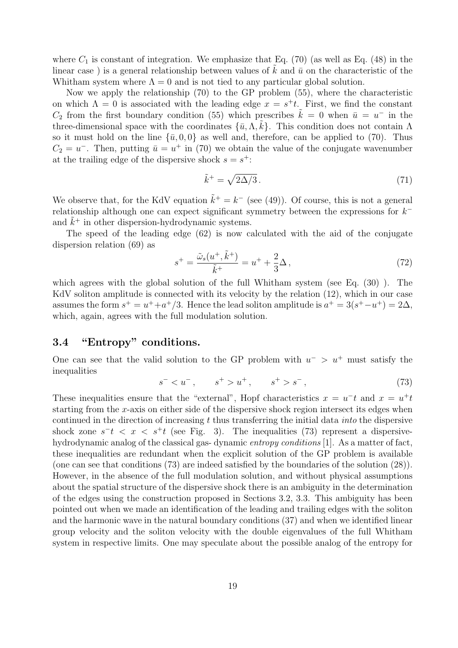where  $C_1$  is constant of integration. We emphasize that Eq. (70) (as well as Eq. (48) in the linear case) is a general relationship between values of  $k$  and  $\bar{u}$  on the characteristic of the Whitham system where  $\Lambda = 0$  and is not tied to any particular global solution.

Now we apply the relationship (70) to the GP problem (55), where the characteristic on which  $\Lambda = 0$  is associated with the leading edge  $x = s^+t$ . First, we find the constant  $C_2$  from the first boundary condition (55) which prescribes  $\tilde{k} = 0$  when  $\bar{u} = u^{-}$  in the three-dimensional space with the coordinates  $\{\bar{u}, \Lambda, \tilde{k}\}$ . This condition does not contain  $\Lambda$ so it must hold on the line  $\{\bar{u}, 0, 0\}$  as well and, therefore, can be applied to (70). Thus  $C_2 = u^-$ . Then, putting  $\bar{u} = u^+$  in (70) we obtain the value of the conjugate wavenumber at the trailing edge of the dispersive shock  $s = s^+$ :

$$
\tilde{k}^+ = \sqrt{2\Delta/3} \,. \tag{71}
$$

We observe that, for the KdV equation  $\tilde{k}^+ = k^-$  (see (49)). Of course, this is not a general relationship although one can expect significant symmetry between the expressions for  $k^$ and  $\tilde{k}^+$  in other dispersion-hydrodynamic systems.

The speed of the leading edge (62) is now calculated with the aid of the conjugate dispersion relation (69) as

$$
s^{+} = \frac{\tilde{\omega}_{s}(u^{+}, \tilde{k}^{+})}{\tilde{k}^{+}} = u^{+} + \frac{2}{3}\Delta\,,
$$
\n(72)

which agrees with the global solution of the full Whitham system (see Eq.  $(30)$ ). The KdV soliton amplitude is connected with its velocity by the relation (12), which in our case assumes the form  $s^+ = u^+ + a^+/3$ . Hence the lead soliton amplitude is  $a^+ = 3(s^+ - u^+) = 2\Delta$ , which, again, agrees with the full modulation solution.

### 3.4 "Entropy" conditions.

One can see that the valid solution to the GP problem with  $u^{-}$  >  $u^{+}$  must satisfy the inequalities

$$
s^- < u^-, \qquad s^+ > u^+, \qquad s^+ > s^-, \tag{73}
$$

These inequalities ensure that the "external", Hopf characteristics  $x = u<sup>-t</sup>$  and  $x = u<sup>+</sup> t$ starting from the x-axis on either side of the dispersive shock region intersect its edges when continued in the direction of increasing t thus transferring the initial data *into* the dispersive shock zone  $s^-t$  <  $x$  <  $s^+t$  (see Fig. 3). The inequalities (73) represent a dispersivehydrodynamic analog of the classical gas- dynamic *entropy conditions* [1]. As a matter of fact, these inequalities are redundant when the explicit solution of the GP problem is available (one can see that conditions (73) are indeed satisfied by the boundaries of the solution (28)). However, in the absence of the full modulation solution, and without physical assumptions about the spatial structure of the dispersive shock there is an ambiguity in the determination of the edges using the construction proposed in Sections 3.2, 3.3. This ambiguity has been pointed out when we made an identification of the leading and trailing edges with the soliton and the harmonic wave in the natural boundary conditions (37) and when we identified linear group velocity and the soliton velocity with the double eigenvalues of the full Whitham system in respective limits. One may speculate about the possible analog of the entropy for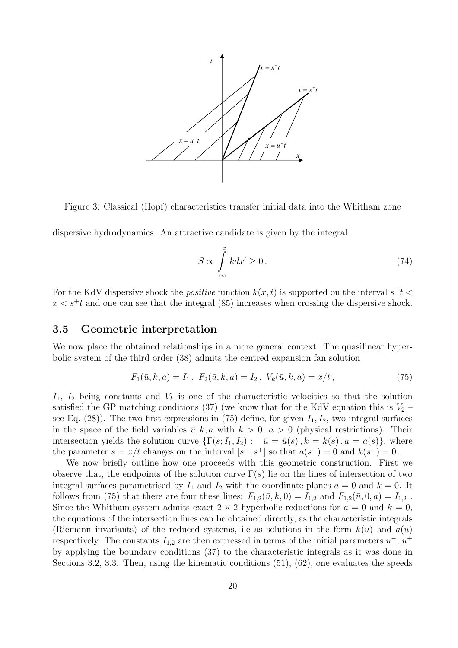

Figure 3: Classical (Hopf) characteristics transfer initial data into the Whitham zone

dispersive hydrodynamics. An attractive candidate is given by the integral

$$
S \propto \int_{-\infty}^{x} k dx' \ge 0. \tag{74}
$$

For the KdV dispersive shock the *positive* function  $k(x, t)$  is supported on the interval  $s<sup>-t</sup>$  $x < s<sup>+</sup>t$  and one can see that the integral (85) increases when crossing the dispersive shock.

#### 3.5 Geometric interpretation

We now place the obtained relationships in a more general context. The quasilinear hyperbolic system of the third order (38) admits the centred expansion fan solution

$$
F_1(\bar{u}, k, a) = I_1, F_2(\bar{u}, k, a) = I_2, V_k(\bar{u}, k, a) = x/t,
$$
\n(75)

 $I_1$ ,  $I_2$  being constants and  $V_k$  is one of the characteristic velocities so that the solution satisfied the GP matching conditions (37) (we know that for the KdV equation this is  $V_2$  – see Eq. (28)). The two first expressions in (75) define, for given  $I_1, I_2$ , two integral surfaces in the space of the field variables  $\bar{u}, k, a$  with  $k > 0, a > 0$  (physical restrictions). Their intersection yields the solution curve  $\{\Gamma(s; I_1, I_2): \bar{u} = \bar{u}(s), k = k(s), a = a(s)\}\,$ , where the parameter  $s = x/t$  changes on the interval  $[s^-, s^+]$  so that  $a(s^-) = 0$  and  $k(s^+) = 0$ .

We now briefly outline how one proceeds with this geometric construction. First we observe that, the endpoints of the solution curve  $\Gamma(s)$  lie on the lines of intersection of two integral surfaces parametrised by  $I_1$  and  $I_2$  with the coordinate planes  $a = 0$  and  $k = 0$ . It follows from (75) that there are four these lines:  $F_{1,2}(\bar{u}, k, 0) = I_{1,2}$  and  $F_{1,2}(\bar{u}, 0, a) = I_{1,2}$ . Since the Whitham system admits exact  $2 \times 2$  hyperbolic reductions for  $a = 0$  and  $k = 0$ , the equations of the intersection lines can be obtained directly, as the characteristic integrals (Riemann invariants) of the reduced systems, i.e as solutions in the form  $k(\bar{u})$  and  $a(\bar{u})$ respectively. The constants  $I_{1,2}$  are then expressed in terms of the initial parameters  $u^{-}$ ,  $u^{+}$ by applying the boundary conditions (37) to the characteristic integrals as it was done in Sections 3.2, 3.3. Then, using the kinematic conditions (51), (62), one evaluates the speeds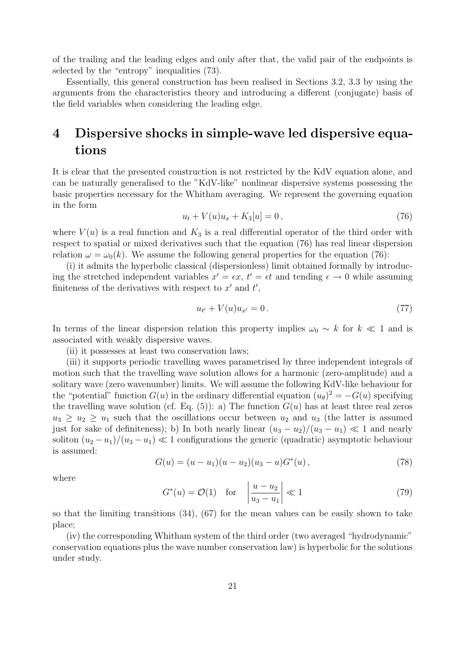of the trailing and the leading edges and only after that, the valid pair of the endpoints is selected by the "entropy" inequalities (73).

Essentially, this general construction has been realised in Sections 3.2, 3.3 by using the arguments from the characteristics theory and introducing a different (conjugate) basis of the field variables when considering the leading edge.

## 4 Dispersive shocks in simple-wave led dispersive equations

It is clear that the presented construction is not restricted by the KdV equation alone, and can be naturally generalised to the "KdV-like" nonlinear dispersive systems possessing the basic properties necessary for the Whitham averaging. We represent the governing equation in the form

$$
u_t + V(u)u_x + K_3[u] = 0, \t\t(76)
$$

where  $V(u)$  is a real function and  $K_3$  is a real differential operator of the third order with respect to spatial or mixed derivatives such that the equation (76) has real linear dispersion relation  $\omega = \omega_0(k)$ . We assume the following general properties for the equation (76):

(i) it admits the hyperbolic classical (dispersionless) limit obtained formally by introducing the stretched independent variables  $x' = \epsilon x$ ,  $t' = \epsilon t$  and tending  $\epsilon \to 0$  while assuming finiteness of the derivatives with respect to  $x'$  and  $t'$ ,

$$
u_{t'} + V(u)u_{x'} = 0.
$$
\n(77)

In terms of the linear dispersion relation this property implies  $\omega_0 \sim k$  for  $k \ll 1$  and is associated with weakly dispersive waves.

(ii) it possesses at least two conservation laws;

(iii) it supports periodic travelling waves parametrised by three independent integrals of motion such that the travelling wave solution allows for a harmonic (zero-amplitude) and a solitary wave (zero wavenumber) limits. We will assume the following KdV-like behaviour for the "potential" function  $G(u)$  in the ordinary differential equation  $(u_{\theta})^2 = -G(u)$  specifying the travelling wave solution (cf. Eq.  $(5)$ ): a) The function  $G(u)$  has at least three real zeros  $u_3 \geq u_2 \geq u_1$  such that the oscillations occur between  $u_2$  and  $u_3$  (the latter is assumed just for sake of definiteness); b) In both nearly linear  $(u_3 - u_2)/(u_3 - u_1) \ll 1$  and nearly soliton  $(u_2 - u_1)/(u_3 - u_1) \ll 1$  configurations the generic (quadratic) asymptotic behaviour is assumed:

$$
G(u) = (u - u_1)(u - u_2)(u_3 - u)G^*(u), \qquad (78)
$$

where

$$
G^*(u) = \mathcal{O}(1) \quad \text{for} \quad \left| \frac{u - u_2}{u_3 - u_1} \right| \ll 1 \tag{79}
$$

so that the limiting transitions (34), (67) for the mean values can be easily shown to take place;

(iv) the corresponding Whitham system of the third order (two averaged "hydrodynamic" conservation equations plus the wave number conservation law) is hyperbolic for the solutions under study.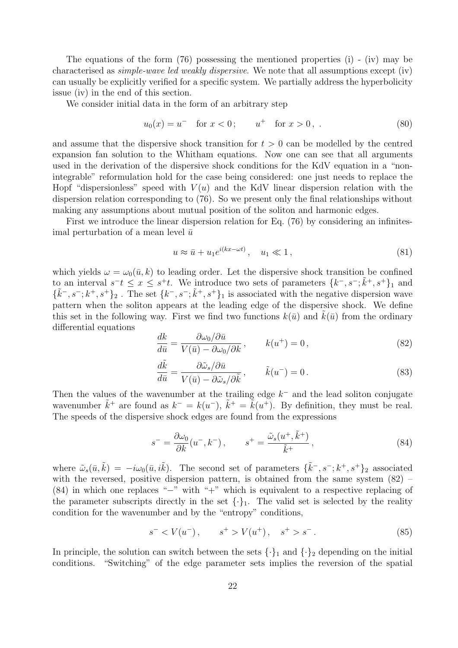The equations of the form (76) possessing the mentioned properties (i) - (iv) may be characterised as simple-wave led weakly dispersive. We note that all assumptions except (iv) can usually be explicitly verified for a specific system. We partially address the hyperbolicity issue (iv) in the end of this section.

We consider initial data in the form of an arbitrary step

$$
u_0(x) = u^- \quad \text{for } x < 0; \qquad u^+ \quad \text{for } x > 0, \tag{80}
$$

and assume that the dispersive shock transition for  $t > 0$  can be modelled by the centred expansion fan solution to the Whitham equations. Now one can see that all arguments used in the derivation of the dispersive shock conditions for the KdV equation in a "nonintegrable" reformulation hold for the case being considered: one just needs to replace the Hopf "dispersionless" speed with  $V(u)$  and the KdV linear dispersion relation with the dispersion relation corresponding to (76). So we present only the final relationships without making any assumptions about mutual position of the soliton and harmonic edges.

First we introduce the linear dispersion relation for Eq. (76) by considering an infinitesimal perturbation of a mean level  $\bar{u}$ 

$$
u \approx \bar{u} + u_1 e^{i(kx - \omega t)}, \quad u_1 \ll 1,
$$
\n<sup>(81)</sup>

which yields  $\omega = \omega_0(\bar{u}, k)$  to leading order. Let the dispersive shock transition be confined to an interval  $s^-t \leq x \leq s^+t$ . We introduce two sets of parameters  $\{k^-, s^-; \tilde{k}^+, s^+\}_1$  and  $\{\tilde{k}^-, s^-, k^+, s^+\}_2$ . The set  $\{k^-, s^-, \tilde{k}^+, s^+\}_1$  is associated with the negative dispersion wave pattern when the soliton appears at the leading edge of the dispersive shock. We define this set in the following way. First we find two functions  $k(\bar{u})$  and  $\bar{k}(\bar{u})$  from the ordinary differential equations

$$
\frac{dk}{d\bar{u}} = \frac{\partial \omega_0 / \partial \bar{u}}{V(\bar{u}) - \partial \omega_0 / \partial k}, \qquad k(u^+) = 0, \qquad (82)
$$

$$
\frac{d\tilde{k}}{d\bar{u}} = \frac{\partial \tilde{\omega}_s / \partial \bar{u}}{V(\bar{u}) - \partial \tilde{\omega}_s / \partial \tilde{k}}, \qquad \tilde{k}(u^-) = 0.
$$
\n(83)

Then the values of the wavenumber at the trailing edge  $k^-$  and the lead soliton conjugate wavenumber  $\tilde{k}^+$  are found as  $k^- = k(u^-)$ ,  $\tilde{k}^+ = \tilde{k}(u^+)$ . By definition, they must be real. The speeds of the dispersive shock edges are found from the expressions

$$
s^- = \frac{\partial \omega_0}{\partial k}(u^-, k^-), \qquad s^+ = \frac{\tilde{\omega}_s(u^+, \tilde{k}^+)}{\tilde{k}^+}, \tag{84}
$$

where  $\tilde{\omega}_s(\bar{u}, \tilde{k}) = -i\omega_0(\bar{u}, i\tilde{k})$ . The second set of parameters  $\{\tilde{k}^-, s^-, k^+, s^+\}_2$  associated with the reversed, positive dispersion pattern, is obtained from the same system  $(82)$  – (84) in which one replaces "−" with "+" which is equivalent to a respective replacing of the parameter subscripts directly in the set  $\{\cdot\}_1$ . The valid set is selected by the reality condition for the wavenumber and by the "entropy" conditions,

$$
s^- < V(u^-), \qquad s^+ > V(u^+), \quad s^+ > s^- \,. \tag{85}
$$

In principle, the solution can switch between the sets  $\{\cdot\}_1$  and  $\{\cdot\}_2$  depending on the initial conditions. "Switching" of the edge parameter sets implies the reversion of the spatial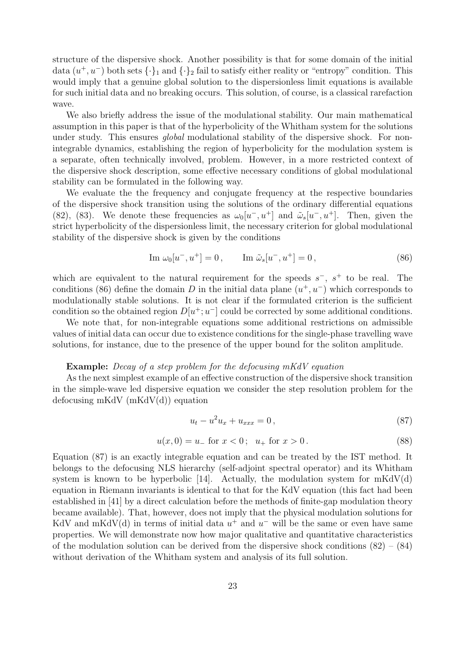structure of the dispersive shock. Another possibility is that for some domain of the initial data  $(u^+, u^-)$  both sets  $\{\cdot\}_1$  and  $\{\cdot\}_2$  fail to satisfy either reality or "entropy" condition. This would imply that a genuine global solution to the dispersionless limit equations is available for such initial data and no breaking occurs. This solution, of course, is a classical rarefaction wave.

We also briefly address the issue of the modulational stability. Our main mathematical assumption in this paper is that of the hyperbolicity of the Whitham system for the solutions under study. This ensures *global* modulational stability of the dispersive shock. For nonintegrable dynamics, establishing the region of hyperbolicity for the modulation system is a separate, often technically involved, problem. However, in a more restricted context of the dispersive shock description, some effective necessary conditions of global modulational stability can be formulated in the following way.

We evaluate the the frequency and conjugate frequency at the respective boundaries of the dispersive shock transition using the solutions of the ordinary differential equations (82), (83). We denote these frequencies as  $\omega_0[u^-, u^+]$  and  $\tilde{\omega}_s[u^-, u^+]$ . Then, given the strict hyperbolicity of the dispersionless limit, the necessary criterion for global modulational stability of the dispersive shock is given by the conditions

Im 
$$
\omega_0[u^-, u^+] = 0
$$
, Im  $\tilde{\omega}_s[u^-, u^+] = 0$ , (86)

which are equivalent to the natural requirement for the speeds  $s^-$ ,  $s^+$  to be real. The conditions (86) define the domain D in the initial data plane  $(u^+, u^-)$  which corresponds to modulationally stable solutions. It is not clear if the formulated criterion is the sufficient condition so the obtained region  $D[u^{\dagger}; u^-]$  could be corrected by some additional conditions.

We note that, for non-integrable equations some additional restrictions on admissible values of initial data can occur due to existence conditions for the single-phase travelling wave solutions, for instance, due to the presence of the upper bound for the soliton amplitude.

#### Example: Decay of a step problem for the defocusing mKdV equation

As the next simplest example of an effective construction of the dispersive shock transition in the simple-wave led dispersive equation we consider the step resolution problem for the defocusing mKdV (mKdV(d)) equation

$$
u_t - u^2 u_x + u_{xxx} = 0, \t\t(87)
$$

$$
u(x,0) = u_-\text{ for } x < 0\,;\ u_+\text{ for } x > 0\,. \tag{88}
$$

Equation (87) is an exactly integrable equation and can be treated by the IST method. It belongs to the defocusing NLS hierarchy (self-adjoint spectral operator) and its Whitham system is known to be hyperbolic [14]. Actually, the modulation system for  $m\text{KdV}(d)$ equation in Riemann invariants is identical to that for the KdV equation (this fact had been established in [41] by a direct calculation before the methods of finite-gap modulation theory became available). That, however, does not imply that the physical modulation solutions for KdV and mKdV(d) in terms of initial data  $u^+$  and  $u^-$  will be the same or even have same properties. We will demonstrate now how major qualitative and quantitative characteristics of the modulation solution can be derived from the dispersive shock conditions  $(82) - (84)$ without derivation of the Whitham system and analysis of its full solution.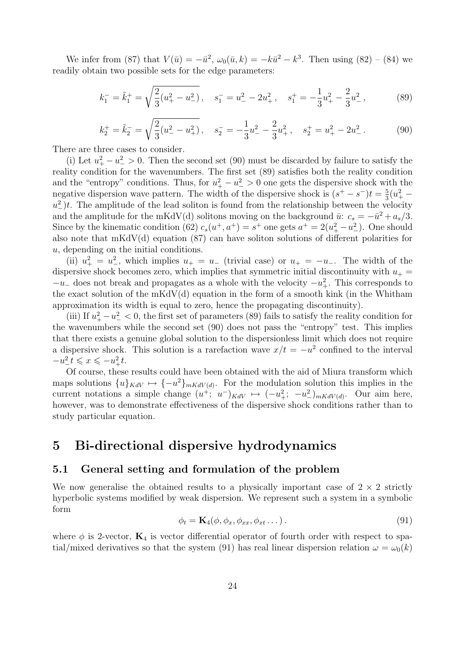We infer from (87) that  $V(\bar{u}) = -\bar{u}^2$ ,  $\omega_0(\bar{u}, k) = -k\bar{u}^2 - k^3$ . Then using (82) – (84) we readily obtain two possible sets for the edge parameters:

$$
k_1^- = \tilde{k}_1^+ = \sqrt{\frac{2}{3}(u_+^2 - u_-^2)}, \quad s_1^- = u_-^2 - 2u_+^2, \quad s_1^+ = -\frac{1}{3}u_+^2 - \frac{2}{3}u_-^2,\tag{89}
$$

$$
k_2^+ = \tilde{k}_2^- = \sqrt{\frac{2}{3}(u_-^2 - u_+^2)}, \quad s_2^- = -\frac{1}{3}u_-^2 - \frac{2}{3}u_+^2, \quad s_2^+ = u_+^2 - 2u_-^2. \tag{90}
$$

There are three cases to consider.

(i) Let  $u_+^2 - u_-^2 > 0$ . Then the second set (90) must be discarded by failure to satisfy the reality condition for the wavenumbers. The first set (89) satisfies both the reality condition and the "entropy" conditions. Thus, for  $u_+^2 - u_-^2 > 0$  one gets the dispersive shock with the negative dispersion wave pattern. The width of the dispersive shock is  $(s^+ - s^-)t = \frac{5}{3}$  $\frac{5}{3}(u_+^2$  $u_{-}^{2}$ )t. The amplitude of the lead soliton is found from the relationship between the velocity and the amplitude for the mKdV(d) solitons moving on the background  $\bar{u}: c_s = -\bar{u}^2 + a_s/3$ . Since by the kinematic condition (62)  $c_s(u^+, a^+) = s^+$  one gets  $a^+ = 2(u_+^2 - u_-^2)$ . One should also note that  $m\text{KdV}(d)$  equation (87) can have soliton solutions of different polarities for u, depending on the initial conditions.

(ii)  $u_+^2 = u_-^2$ , which implies  $u_+ = u_-$  (trivial case) or  $u_+ = -u_-$ . The width of the dispersive shock becomes zero, which implies that symmetric initial discontinuity with  $u_+$  =  $-u_-\,$  does not break and propagates as a whole with the velocity  $-u_+^2$ . This corresponds to the exact solution of the  $m\ddot{o}$  equation in the form of a smooth kink (in the Whitham approximation its width is equal to zero, hence the propagating discontinuity).

(iii) If  $u_+^2 - u_-^2 < 0$ , the first set of parameters (89) fails to satisfy the reality condition for the wavenumbers while the second set (90) does not pass the "entropy" test. This implies that there exists a genuine global solution to the dispersionless limit which does not require a dispersive shock. This solution is a rarefaction wave  $x/t = -u^2$  confined to the interval  $-u_{-}^2t \leqslant x \leqslant -u_{+}^2t.$ 

Of course, these results could have been obtained with the aid of Miura transform which maps solutions  ${u}_{KdV} \mapsto {-u^2}_{mKdV(d)}$ . For the modulation solution this implies in the current notations a simple change  $(u^+; u^-)_{KdV} \mapsto (-u^2_+; -u^2_-)_{mKdV(d)}$ . Our aim here, however, was to demonstrate effectiveness of the dispersive shock conditions rather than to study particular equation.

### 5 Bi-directional dispersive hydrodynamics

#### 5.1 General setting and formulation of the problem

We now generalise the obtained results to a physically important case of  $2 \times 2$  strictly hyperbolic systems modified by weak dispersion. We represent such a system in a symbolic form

$$
\phi_t = \mathbf{K}_4(\phi, \phi_x, \phi_{xx}, \phi_{xt} \dots). \tag{91}
$$

where  $\phi$  is 2-vector,  $\mathbf{K}_4$  is vector differential operator of fourth order with respect to spatial/mixed derivatives so that the system (91) has real linear dispersion relation  $\omega = \omega_0(k)$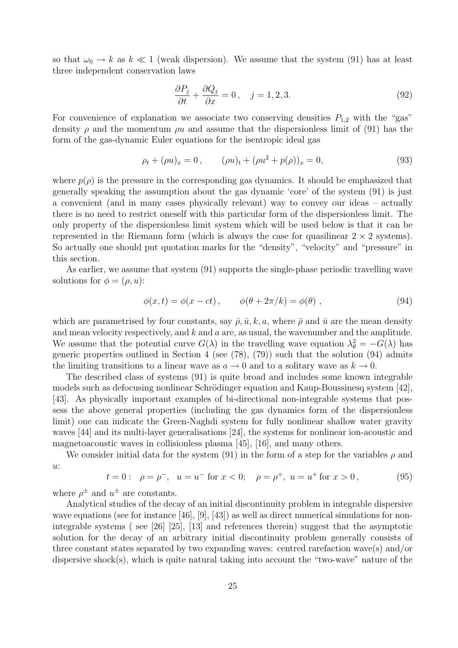so that  $\omega_0 \to k$  as  $k \ll 1$  (weak dispersion). We assume that the system (91) has at least three independent conservation laws

$$
\frac{\partial P_j}{\partial t} + \frac{\partial Q_j}{\partial x} = 0, \quad j = 1, 2, 3. \tag{92}
$$

For convenience of explanation we associate two conserving densities  $P_{1,2}$  with the "gas" density  $\rho$  and the momentum  $\rho u$  and assume that the dispersionless limit of (91) has the form of the gas-dynamic Euler equations for the isentropic ideal gas

$$
\rho_t + (\rho u)_x = 0, \qquad (\rho u)_t + (\rho u^2 + p(\rho))_x = 0,
$$
\n(93)

where  $p(\rho)$  is the pressure in the corresponding gas dynamics. It should be emphasized that generally speaking the assumption about the gas dynamic 'core' of the system (91) is just a convenient (and in many cases physically relevant) way to convey our ideas – actually there is no need to restrict oneself with this particular form of the dispersionless limit. The only property of the dispersionless limit system which will be used below is that it can be represented in the Riemann form (which is always the case for quasilinear  $2 \times 2$  systems). So actually one should put quotation marks for the "density", "velocity" and "pressure" in this section.

As earlier, we assume that system (91) supports the single-phase periodic travelling wave solutions for  $\phi = (\rho, u)$ :

$$
\phi(x,t) = \phi(x-ct), \qquad \phi(\theta+2\pi/k) = \phi(\theta), \qquad (94)
$$

which are parametrised by four constants, say  $\bar{\rho}$ ,  $\bar{u}$ , k, a, where  $\bar{\rho}$  and  $\bar{u}$  are the mean density and mean velocity respectively, and  $k$  and  $a$  are, as usual, the wavenumber and the amplitude. We assume that the potential curve  $G(\lambda)$  in the travelling wave equation  $\lambda_{\theta}^2 = -G(\lambda)$  has generic properties outlined in Section 4 (see  $(78)$ ,  $(79)$ ) such that the solution  $(94)$  admits the limiting transitions to a linear wave as  $a \to 0$  and to a solitary wave as  $k \to 0$ .

The described class of systems (91) is quite broad and includes some known integrable models such as defocusing nonlinear Schrödinger equation and Kaup-Boussinesq system [42], [43]. As physically important examples of bi-directional non-integrable systems that possess the above general properties (including the gas dynamics form of the dispersionless limit) one can indicate the Green-Naghdi system for fully nonlinear shallow water gravity waves [44] and its multi-layer generalisations [24], the systems for nonlinear ion-acoustic and magnetoacoustic waves in collisionless plasma [45], [16], and many others.

We consider initial data for the system (91) in the form of a step for the variables  $\rho$  and  $u$ :

$$
t = 0:
$$
  $\rho = \rho^{-}$ ,  $u = u^{-}$  for  $x < 0$ ;  $\rho = \rho^{+}$ ,  $u = u^{+}$  for  $x > 0$ , (95)

where  $\rho^{\pm}$  and  $u^{\pm}$  are constants.

Analytical studies of the decay of an initial discontinuity problem in integrable dispersive wave equations (see for instance [46], [9], [43]) as well as direct numerical simulations for nonintegrable systems ( see [26] [25], [13] and references therein) suggest that the asymptotic solution for the decay of an arbitrary initial discontinuity problem generally consists of three constant states separated by two expanding waves: centred rarefaction wave(s) and/or dispersive shock(s), which is quite natural taking into account the "two-wave" nature of the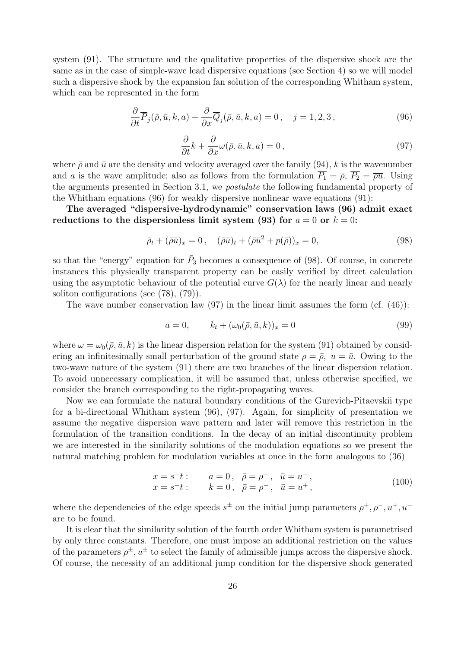system (91). The structure and the qualitative properties of the dispersive shock are the same as in the case of simple-wave lead dispersive equations (see Section 4) so we will model such a dispersive shock by the expansion fan solution of the corresponding Whitham system, which can be represented in the form

$$
\frac{\partial}{\partial t}\overline{P}_j(\overline{\rho}, \overline{u}, k, a) + \frac{\partial}{\partial x}\overline{Q}_j(\overline{\rho}, \overline{u}, k, a) = 0, \quad j = 1, 2, 3,
$$
\n(96)

$$
\frac{\partial}{\partial t}k + \frac{\partial}{\partial x}\omega(\bar{\rho}, \bar{u}, k, a) = 0, \qquad (97)
$$

where  $\bar{\rho}$  and  $\bar{u}$  are the density and velocity averaged over the family (94), k is the wavenumber and a is the wave amplitude; also as follows from the formulation  $\overline{P_1} = \overline{\rho}$ ,  $\overline{P_2} = \overline{\rho} \overline{u}$ . Using the arguments presented in Section 3.1, we postulate the following fundamental property of the Whitham equations (96) for weakly dispersive nonlinear wave equations (91):

The averaged "dispersive-hydrodynamic" conservation laws (96) admit exact reductions to the dispersionless limit system (93) for  $a = 0$  or  $k = 0$ :

$$
\bar{\rho}_t + (\bar{\rho}\bar{u})_x = 0, \quad (\bar{\rho}\bar{u})_t + (\bar{\rho}\bar{u}^2 + p(\bar{\rho}))_x = 0,
$$
\n(98)

so that the "energy" equation for  $\bar{P}_3$  becomes a consequence of (98). Of course, in concrete instances this physically transparent property can be easily verified by direct calculation using the asymptotic behaviour of the potential curve  $G(\lambda)$  for the nearly linear and nearly soliton configurations (see (78), (79)).

The wave number conservation law  $(97)$  in the linear limit assumes the form  $(cf. (46))$ :

$$
a = 0, \t k_t + (\omega_0(\bar{\rho}, \bar{u}, k))_x = 0 \t (99)
$$

where  $\omega = \omega_0(\bar{\rho}, \bar{u}, k)$  is the linear dispersion relation for the system (91) obtained by considering an infinitesimally small perturbation of the ground state  $\rho = \overline{\rho}$ ,  $u = \overline{u}$ . Owing to the two-wave nature of the system (91) there are two branches of the linear dispersion relation. To avoid unnecessary complication, it will be assumed that, unless otherwise specified, we consider the branch corresponding to the right-propagating waves.

Now we can formulate the natural boundary conditions of the Gurevich-Pitaevskii type for a bi-directional Whitham system (96), (97). Again, for simplicity of presentation we assume the negative dispersion wave pattern and later will remove this restriction in the formulation of the transition conditions. In the decay of an initial discontinuity problem we are interested in the similarity solutions of the modulation equations so we present the natural matching problem for modulation variables at once in the form analogous to (36)

$$
x = s^-t
$$
:  $a = 0, \ \bar{\rho} = \rho^-, \ \bar{u} = u^-$ ,  
\n $x = s^+t$ :  $k = 0, \ \bar{\rho} = \rho^+, \ \bar{u} = u^+$ , (100)

where the dependencies of the edge speeds  $s^{\pm}$  on the initial jump parameters  $\rho^+, \rho^-, u^+, u^$ are to be found.

It is clear that the similarity solution of the fourth order Whitham system is parametrised by only three constants. Therefore, one must impose an additional restriction on the values of the parameters  $\rho^{\pm}$ ,  $u^{\pm}$  to select the family of admissible jumps across the dispersive shock. Of course, the necessity of an additional jump condition for the dispersive shock generated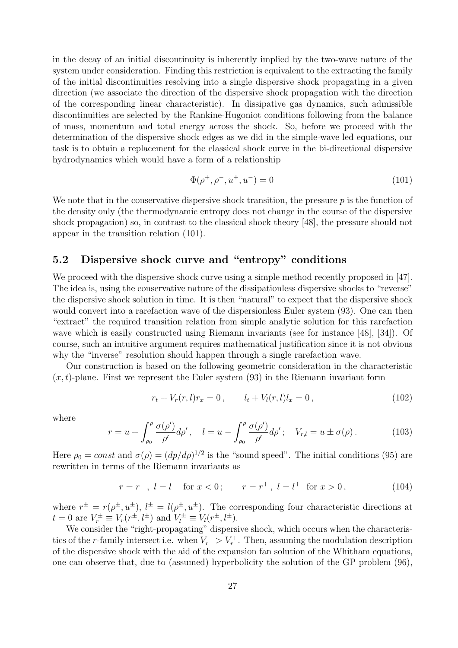in the decay of an initial discontinuity is inherently implied by the two-wave nature of the system under consideration. Finding this restriction is equivalent to the extracting the family of the initial discontinuities resolving into a single dispersive shock propagating in a given direction (we associate the direction of the dispersive shock propagation with the direction of the corresponding linear characteristic). In dissipative gas dynamics, such admissible discontinuities are selected by the Rankine-Hugoniot conditions following from the balance of mass, momentum and total energy across the shock. So, before we proceed with the determination of the dispersive shock edges as we did in the simple-wave led equations, our task is to obtain a replacement for the classical shock curve in the bi-directional dispersive hydrodynamics which would have a form of a relationship

$$
\Phi(\rho^+, \rho^-, u^+, u^-) = 0 \tag{101}
$$

We note that in the conservative dispersive shock transition, the pressure  $p$  is the function of the density only (the thermodynamic entropy does not change in the course of the dispersive shock propagation) so, in contrast to the classical shock theory [48], the pressure should not appear in the transition relation (101).

#### 5.2 Dispersive shock curve and "entropy" conditions

We proceed with the dispersive shock curve using a simple method recently proposed in [47]. The idea is, using the conservative nature of the dissipationless dispersive shocks to "reverse" the dispersive shock solution in time. It is then "natural" to expect that the dispersive shock would convert into a rarefaction wave of the dispersionless Euler system (93). One can then "extract" the required transition relation from simple analytic solution for this rarefaction wave which is easily constructed using Riemann invariants (see for instance [48], [34]). Of course, such an intuitive argument requires mathematical justification since it is not obvious why the "inverse" resolution should happen through a single rarefaction wave.

Our construction is based on the following geometric consideration in the characteristic  $(x, t)$ -plane. First we represent the Euler system (93) in the Riemann invariant form

$$
r_t + V_r(r, l)r_x = 0, \t l_t + V_l(r, l)l_x = 0,
$$
\t(102)

where

$$
r = u + \int_{\rho_0}^{\rho} \frac{\sigma(\rho')}{\rho'} d\rho', \quad l = u - \int_{\rho_0}^{\rho} \frac{\sigma(\rho')}{\rho'} d\rho'; \quad V_{r,l} = u \pm \sigma(\rho).
$$
 (103)

Here  $\rho_0 = const$  and  $\sigma(\rho) = (dp/d\rho)^{1/2}$  is the "sound speed". The initial conditions (95) are rewritten in terms of the Riemann invariants as

$$
r = r^{-}
$$
,  $l = l^{-}$  for  $x < 0$ ;  $r = r^{+}$ ,  $l = l^{+}$  for  $x > 0$ , (104)

where  $r^{\pm} = r(\rho^{\pm}, u^{\pm}), l^{\pm} = l(\rho^{\pm}, u^{\pm}).$  The corresponding four characteristic directions at  $t = 0$  are  $V_r^{\pm} \equiv V_r(r^{\pm}, l^{\pm})$  and  $V_l^{\pm} \equiv V_l(r^{\pm}, l^{\pm})$ .

We consider the "right-propagating" dispersive shock, which occurs when the characteristics of the r-family intersect i.e. when  $V_r$  >  $V_r$ <sup>+</sup>. Then, assuming the modulation description of the dispersive shock with the aid of the expansion fan solution of the Whitham equations, one can observe that, due to (assumed) hyperbolicity the solution of the GP problem (96),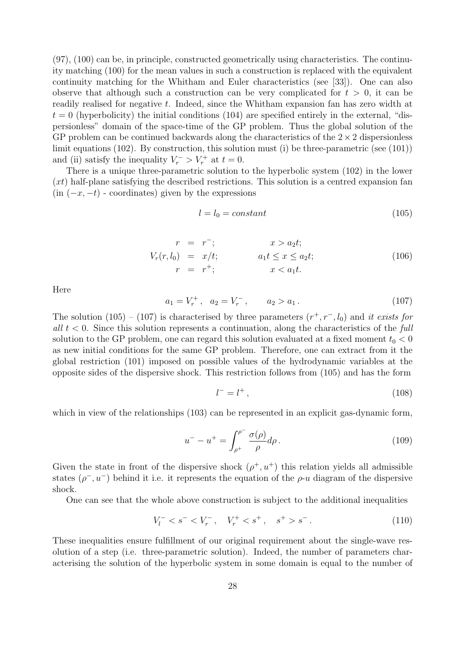(97), (100) can be, in principle, constructed geometrically using characteristics. The continuity matching (100) for the mean values in such a construction is replaced with the equivalent continuity matching for the Whitham and Euler characteristics (see [33]). One can also observe that although such a construction can be very complicated for  $t > 0$ , it can be readily realised for negative t. Indeed, since the Whitham expansion fan has zero width at  $t = 0$  (hyperbolicity) the initial conditions (104) are specified entirely in the external, "dispersionless" domain of the space-time of the GP problem. Thus the global solution of the GP problem can be continued backwards along the characteristics of the  $2 \times 2$  dispersionless limit equations (102). By construction, this solution must (i) be three-parametric (see (101)) and (ii) satisfy the inequality  $V_r^- > V_r^+$  at  $t = 0$ .

There is a unique three-parametric solution to the hyperbolic system (102) in the lower  $(xt)$  half-plane satisfying the described restrictions. This solution is a centred expansion fan  $(in (-x, -t)$  - coordinates) given by the expressions

$$
l = l_0 = constant \tag{105}
$$

$$
r = r-; \t x > a2t;
$$
  
\n
$$
Vr(r, l0) = x/t;
$$
  
\n
$$
r = r+; \t x < a1t.
$$
  
\n(106)

Here

$$
a_1 = V_r^+, \quad a_2 = V_r^-, \qquad a_2 > a_1. \tag{107}
$$

The solution (105) – (107) is characterised by three parameters  $(r^+, r^-, l_0)$  and it exists for all  $t < 0$ . Since this solution represents a continuation, along the characteristics of the full solution to the GP problem, one can regard this solution evaluated at a fixed moment  $t_0 < 0$ as new initial conditions for the same GP problem. Therefore, one can extract from it the global restriction (101) imposed on possible values of the hydrodynamic variables at the opposite sides of the dispersive shock. This restriction follows from (105) and has the form

$$
l^- = l^+ \,,\tag{108}
$$

which in view of the relationships (103) can be represented in an explicit gas-dynamic form,

$$
u^{-} - u^{+} = \int_{\rho^{+}}^{\rho^{-}} \frac{\sigma(\rho)}{\rho} d\rho.
$$
 (109)

Given the state in front of the dispersive shock  $(\rho^+, u^+)$  this relation yields all admissible states  $(\rho^-, u^-)$  behind it i.e. it represents the equation of the  $\rho$ -u diagram of the dispersive shock.

One can see that the whole above construction is subject to the additional inequalities

$$
V_l^- < s^- < V_r^-, \quad V_r^+ < s^+, \quad s^+ > s^- \,. \tag{110}
$$

These inequalities ensure fulfillment of our original requirement about the single-wave resolution of a step (i.e. three-parametric solution). Indeed, the number of parameters characterising the solution of the hyperbolic system in some domain is equal to the number of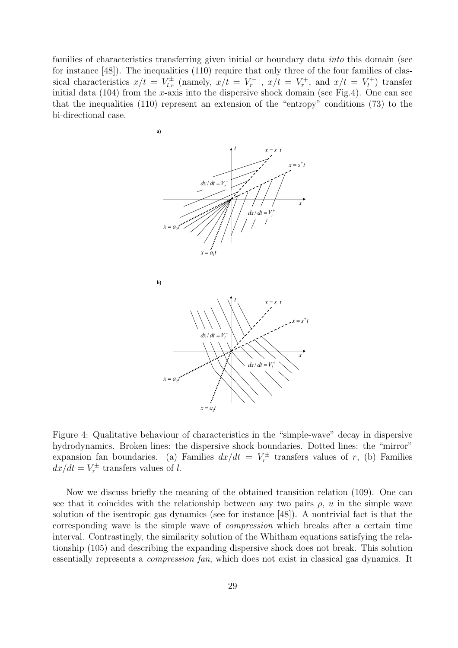families of characteristics transferring given initial or boundary data into this domain (see for instance [48]). The inequalities (110) require that only three of the four families of classical characteristics  $x/t = V_{l,r}^{\pm}$  (namely,  $x/t = V_r^-$  ,  $x/t = V_r^+$ , and  $x/t = V_l^+$  $\binom{r}{l}$  transfer initial data  $(104)$  from the x-axis into the dispersive shock domain (see Fig.4). One can see that the inequalities (110) represent an extension of the "entropy" conditions (73) to the bi-directional case.



Figure 4: Qualitative behaviour of characteristics in the "simple-wave" decay in dispersive hydrodynamics. Broken lines: the dispersive shock boundaries. Dotted lines: the "mirror" expansion fan boundaries. (a) Families  $dx/dt = V_r^{\pm}$  transfers values of r, (b) Families  $dx/dt = V_r^{\pm}$  transfers values of l.

Now we discuss briefly the meaning of the obtained transition relation (109). One can see that it coincides with the relationship between any two pairs  $\rho$ , u in the simple wave solution of the isentropic gas dynamics (see for instance [48]). A nontrivial fact is that the corresponding wave is the simple wave of compression which breaks after a certain time interval. Contrastingly, the similarity solution of the Whitham equations satisfying the relationship (105) and describing the expanding dispersive shock does not break. This solution essentially represents a compression fan, which does not exist in classical gas dynamics. It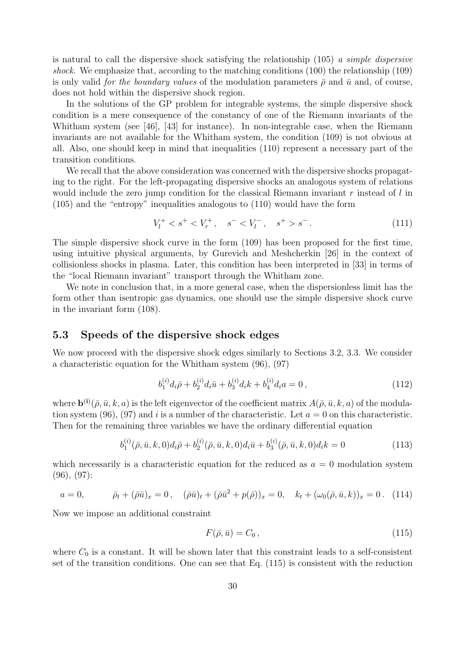is natural to call the dispersive shock satisfying the relationship  $(105)$  a simple dispersive shock. We emphasize that, according to the matching conditions (100) the relationship (109) is only valid for the boundary values of the modulation parameters  $\bar{\rho}$  and  $\bar{u}$  and, of course, does not hold within the dispersive shock region.

In the solutions of the GP problem for integrable systems, the simple dispersive shock condition is a mere consequence of the constancy of one of the Riemann invariants of the Whitham system (see [46], [43] for instance). In non-integrable case, when the Riemann invariants are not available for the Whitham system, the condition (109) is not obvious at all. Also, one should keep in mind that inequalities (110) represent a necessary part of the transition conditions.

We recall that the above consideration was concerned with the dispersive shocks propagating to the right. For the left-propagating dispersive shocks an analogous system of relations would include the zero jump condition for the classical Riemann invariant  $r$  instead of  $l$  in (105) and the "entropy" inequalities analogous to (110) would have the form

$$
V_l^+ < s^+ < V_r^+, \quad s^- < V_l^-, \quad s^+ > s^- \,. \tag{111}
$$

The simple dispersive shock curve in the form (109) has been proposed for the first time, using intuitive physical arguments, by Gurevich and Meshcherkin [26] in the context of collisionless shocks in plasma. Later, this condition has been interpreted in [33] in terms of the "local Riemann invariant" transport through the Whitham zone.

We note in conclusion that, in a more general case, when the dispersionless limit has the form other than isentropic gas dynamics, one should use the simple dispersive shock curve in the invariant form (108).

#### 5.3 Speeds of the dispersive shock edges

We now proceed with the dispersive shock edges similarly to Sections 3.2, 3.3. We consider a characteristic equation for the Whitham system (96), (97)

$$
b_1^{(i)}d_i\bar{\rho} + b_2^{(i)}d_i\bar{u} + b_3^{(i)}d_i k + b_4^{(i)}d_i a = 0, \qquad (112)
$$

where  $\mathbf{b}^{(i)}(\bar{\rho}, \bar{u}, k, a)$  is the left eigenvector of the coefficient matrix  $A(\bar{\rho}, \bar{u}, k, a)$  of the modulation system (96), (97) and i is a number of the characteristic. Let  $a = 0$  on this characteristic. Then for the remaining three variables we have the ordinary differential equation

$$
b_1^{(i)}(\bar{\rho}, \bar{u}, k, 0)d_i\bar{\rho} + b_2^{(i)}(\bar{\rho}, \bar{u}, k, 0)d_i\bar{u} + b_3^{(i)}(\bar{\rho}, \bar{u}, k, 0)d_i k = 0
$$
\n(113)

which necessarily is a characteristic equation for the reduced as  $a = 0$  modulation system (96), (97):

$$
a = 0, \qquad \bar{\rho}_t + (\bar{\rho}\bar{u})_x = 0, \quad (\bar{\rho}\bar{u})_t + (\bar{\rho}\bar{u}^2 + p(\bar{\rho}))_x = 0, \quad k_t + (\omega_0(\bar{\rho}, \bar{u}, k))_x = 0. \quad (114)
$$

Now we impose an additional constraint

$$
F(\bar{\rho}, \bar{u}) = C_0 \,,\tag{115}
$$

where  $C_0$  is a constant. It will be shown later that this constraint leads to a self-consistent set of the transition conditions. One can see that Eq. (115) is consistent with the reduction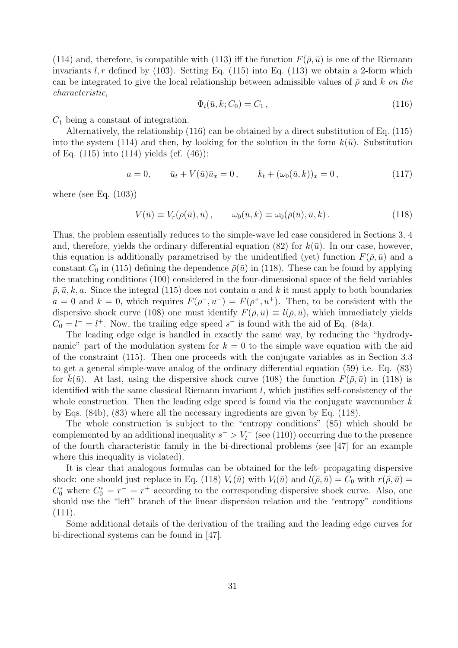(114) and, therefore, is compatible with (113) iff the function  $F(\bar{\rho}, \bar{u})$  is one of the Riemann invariants  $l, r$  defined by (103). Setting Eq. (115) into Eq. (113) we obtain a 2-form which can be integrated to give the local relationship between admissible values of  $\bar{\rho}$  and k on the characteristic,

$$
\Phi_i(\bar{u}, k; C_0) = C_1 \,, \tag{116}
$$

 $C_1$  being a constant of integration.

Alternatively, the relationship (116) can be obtained by a direct substitution of Eq. (115) into the system (114) and then, by looking for the solution in the form  $k(\bar{u})$ . Substitution of Eq. (115) into (114) yields (cf. (46)):

$$
a = 0, \qquad \bar{u}_t + V(\bar{u})\bar{u}_x = 0, \qquad k_t + (\omega_0(\bar{u}, k))_x = 0, \tag{117}
$$

where (see Eq.  $(103)$ )

$$
V(\bar{u}) \equiv V_r(\rho(\bar{u}), \bar{u}), \qquad \omega_0(\bar{u}, k) \equiv \omega_0(\bar{\rho}(\bar{u}), \bar{u}, k). \tag{118}
$$

Thus, the problem essentially reduces to the simple-wave led case considered in Sections 3, 4 and, therefore, yields the ordinary differential equation (82) for  $k(\bar{u})$ . In our case, however, this equation is additionally parametrised by the unidentified (yet) function  $F(\bar{\rho}, \bar{u})$  and a constant  $C_0$  in (115) defining the dependence  $\bar{\rho}(\bar{u})$  in (118). These can be found by applying the matching conditions (100) considered in the four-dimensional space of the field variables  $\overline{\rho}, \overline{u}, k, a$ . Since the integral (115) does not contain a and k it must apply to both boundaries  $a = 0$  and  $k = 0$ , which requires  $F(\rho^-, u^-) = F(\rho^+, u^+)$ . Then, to be consistent with the dispersive shock curve (108) one must identify  $F(\bar{\rho}, \bar{u}) \equiv l(\bar{\rho}, \bar{u})$ , which immediately yields  $C_0 = l^- = l^+$ . Now, the trailing edge speed s<sup>-</sup> is found with the aid of Eq. (84a).

The leading edge edge is handled in exactly the same way, by reducing the "hydrodynamic" part of the modulation system for  $k = 0$  to the simple wave equation with the aid of the constraint (115). Then one proceeds with the conjugate variables as in Section 3.3 to get a general simple-wave analog of the ordinary differential equation (59) i.e. Eq. (83) for  $k(\bar{u})$ . At last, using the dispersive shock curve (108) the function  $F(\bar{\rho}, \bar{u})$  in (118) is identified with the same classical Riemann invariant l, which justifies self-consistency of the whole construction. Then the leading edge speed is found via the conjugate wavenumber  $k$ by Eqs. (84b), (83) where all the necessary ingredients are given by Eq. (118).

The whole construction is subject to the "entropy conditions" (85) which should be complemented by an additional inequality  $s^- > V_l^-$  (see (110)) occurring due to the presence of the fourth characteristic family in the bi-directional problems (see [47] for an example where this inequality is violated).

It is clear that analogous formulas can be obtained for the left- propagating dispersive shock: one should just replace in Eq. (118)  $V_r(\bar{u})$  with  $V_l(\bar{u})$  and  $l(\bar{\rho}, \bar{u}) = C_0$  with  $r(\bar{\rho}, \bar{u}) =$  $C_0^*$  where  $C_0^* = r^- = r^+$  according to the corresponding dispersive shock curve. Also, one should use the "left" branch of the linear dispersion relation and the "entropy" conditions (111).

Some additional details of the derivation of the trailing and the leading edge curves for bi-directional systems can be found in [47].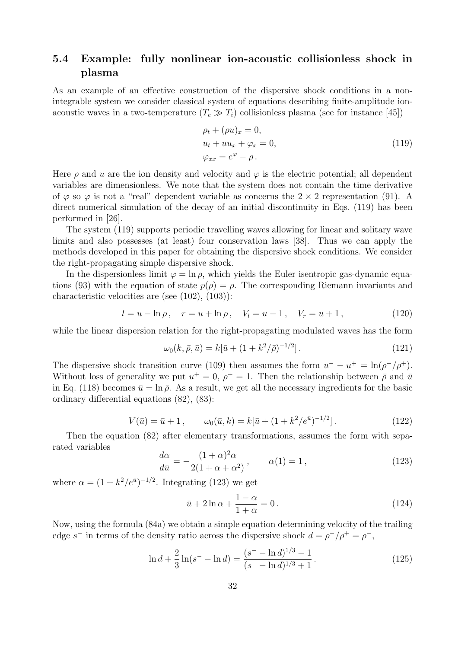### 5.4 Example: fully nonlinear ion-acoustic collisionless shock in plasma

As an example of an effective construction of the dispersive shock conditions in a nonintegrable system we consider classical system of equations describing finite-amplitude ionacoustic waves in a two-temperature  $(T_e \gg T_i)$  collisionless plasma (see for instance [45])

$$
\rho_t + (\rho u)_x = 0,
$$
  
\n
$$
u_t + uu_x + \varphi_x = 0,
$$
  
\n
$$
\varphi_{xx} = e^{\varphi} - \rho.
$$
\n(119)

Here  $\rho$  and u are the ion density and velocity and  $\varphi$  is the electric potential; all dependent variables are dimensionless. We note that the system does not contain the time derivative of  $\varphi$  so  $\varphi$  is not a "real" dependent variable as concerns the  $2 \times 2$  representation (91). A direct numerical simulation of the decay of an initial discontinuity in Eqs. (119) has been performed in [26].

The system (119) supports periodic travelling waves allowing for linear and solitary wave limits and also possesses (at least) four conservation laws [38]. Thus we can apply the methods developed in this paper for obtaining the dispersive shock conditions. We consider the right-propagating simple dispersive shock.

In the dispersionless limit  $\varphi = \ln \rho$ , which yields the Euler isentropic gas-dynamic equations (93) with the equation of state  $p(\rho) = \rho$ . The corresponding Riemann invariants and characteristic velocities are (see (102), (103)):

$$
l = u - \ln \rho, \quad r = u + \ln \rho, \quad V_l = u - 1, \quad V_r = u + 1,
$$
\n(120)

while the linear dispersion relation for the right-propagating modulated waves has the form

$$
\omega_0(k, \bar{\rho}, \bar{u}) = k[\bar{u} + (1 + k^2/\bar{\rho})^{-1/2}]. \tag{121}
$$

The dispersive shock transition curve (109) then assumes the form  $u^- - u^+ = \ln(\rho^-/\rho^+)$ . Without loss of generality we put  $u^+=0, \rho^+=1$ . Then the relationship between  $\bar{\rho}$  and  $\bar{u}$ in Eq. (118) becomes  $\bar{u} = \ln \bar{\rho}$ . As a result, we get all the necessary ingredients for the basic ordinary differential equations (82), (83):

$$
V(\bar{u}) = \bar{u} + 1, \qquad \omega_0(\bar{u}, k) = k[\bar{u} + (1 + k^2/e^{\bar{u}})^{-1/2}]. \tag{122}
$$

Then the equation (82) after elementary transformations, assumes the form with separated variables

$$
\frac{d\alpha}{d\bar{u}} = -\frac{(1+\alpha)^2 \alpha}{2(1+\alpha+\alpha^2)}, \qquad \alpha(1) = 1, \tag{123}
$$

where  $\alpha = (1 + k^2/e^{\bar{u}})^{-1/2}$ . Integrating (123) we get

$$
\bar{u} + 2\ln\alpha + \frac{1-\alpha}{1+\alpha} = 0.
$$
\n(124)

Now, using the formula (84a) we obtain a simple equation determining velocity of the trailing edge s<sup>-</sup> in terms of the density ratio across the dispersive shock  $d = \rho^{-}/\rho^{+} = \rho^{-}$ ,

$$
\ln d + \frac{2}{3}\ln(s^- - \ln d) = \frac{(s^- - \ln d)^{1/3} - 1}{(s^- - \ln d)^{1/3} + 1}.
$$
\n(125)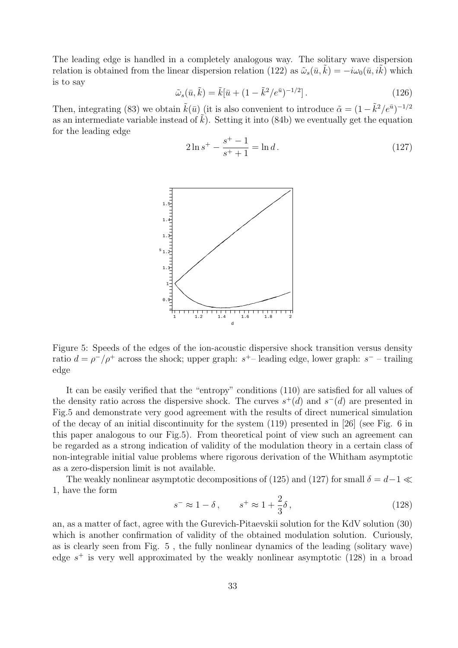The leading edge is handled in a completely analogous way. The solitary wave dispersion relation is obtained from the linear dispersion relation (122) as  $\tilde{\omega}_s(\bar{u}, k) = -i\omega_0(\bar{u}, i k)$  which is to say

$$
\tilde{\omega}_s(\bar{u}, \tilde{k}) = \tilde{k}[\bar{u} + (1 - \tilde{k}^2/e^{\bar{u}})^{-1/2}].
$$
\n(126)

Then, integrating (83) we obtain  $\tilde{k}(\bar{u})$  (it is also convenient to introduce  $\tilde{\alpha} = (1 - \tilde{k}^2/e^{\bar{u}})^{-1/2}$ as an intermediate variable instead of  $\tilde{k}$ ). Setting it into (84b) we eventually get the equation for the leading edge

$$
2\ln s^{+} - \frac{s^{+} - 1}{s^{+} + 1} = \ln d.
$$
 (127)



Figure 5: Speeds of the edges of the ion-acoustic dispersive shock transition versus density ratio  $d = \rho^{-}/\rho^{+}$  across the shock; upper graph:  $s^{+}$ -leading edge, lower graph:  $s^{-}$  - trailing edge

It can be easily verified that the "entropy" conditions (110) are satisfied for all values of the density ratio across the dispersive shock. The curves  $s^+(d)$  and  $s^-(d)$  are presented in Fig.5 and demonstrate very good agreement with the results of direct numerical simulation of the decay of an initial discontinuity for the system (119) presented in [26] (see Fig. 6 in this paper analogous to our Fig.5). From theoretical point of view such an agreement can be regarded as a strong indication of validity of the modulation theory in a certain class of non-integrable initial value problems where rigorous derivation of the Whitham asymptotic as a zero-dispersion limit is not available.

The weakly nonlinear asymptotic decompositions of (125) and (127) for small  $\delta = d-1 \ll$ 1, have the form

$$
s^- \approx 1 - \delta \,, \qquad s^+ \approx 1 + \frac{2}{3}\delta \,, \tag{128}
$$

an, as a matter of fact, agree with the Gurevich-Pitaevskii solution for the KdV solution (30) which is another confirmation of validity of the obtained modulation solution. Curiously, as is clearly seen from Fig. 5 , the fully nonlinear dynamics of the leading (solitary wave) edge  $s^+$  is very well approximated by the weakly nonlinear asymptotic (128) in a broad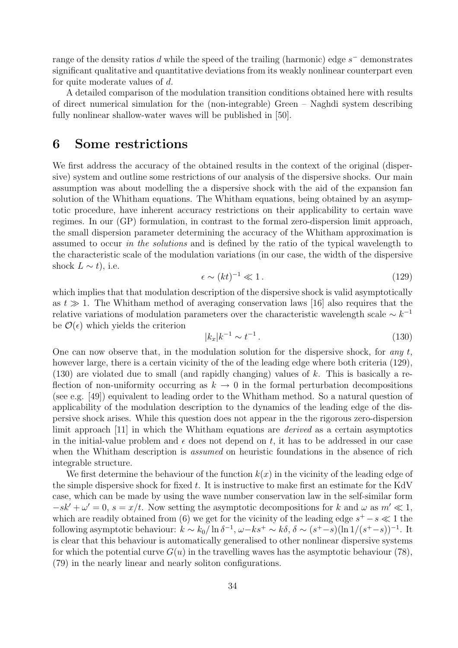range of the density ratios d while the speed of the trailing (harmonic) edge  $s^-$  demonstrates significant qualitative and quantitative deviations from its weakly nonlinear counterpart even for quite moderate values of d.

A detailed comparison of the modulation transition conditions obtained here with results of direct numerical simulation for the (non-integrable) Green – Naghdi system describing fully nonlinear shallow-water waves will be published in [50].

### 6 Some restrictions

We first address the accuracy of the obtained results in the context of the original (dispersive) system and outline some restrictions of our analysis of the dispersive shocks. Our main assumption was about modelling the a dispersive shock with the aid of the expansion fan solution of the Whitham equations. The Whitham equations, being obtained by an asymptotic procedure, have inherent accuracy restrictions on their applicability to certain wave regimes. In our (GP) formulation, in contrast to the formal zero-dispersion limit approach, the small dispersion parameter determining the accuracy of the Whitham approximation is assumed to occur in the solutions and is defined by the ratio of the typical wavelength to the characteristic scale of the modulation variations (in our case, the width of the dispersive shock  $L \sim t$ , i.e.

$$
\epsilon \sim (kt)^{-1} \ll 1. \tag{129}
$$

which implies that that modulation description of the dispersive shock is valid asymptotically as  $t \gg 1$ . The Whitham method of averaging conservation laws [16] also requires that the relative variations of modulation parameters over the characteristic wavelength scale  $\sim k^{-1}$ be  $\mathcal{O}(\epsilon)$  which yields the criterion

$$
|k_x|k^{-1} \sim t^{-1} \,. \tag{130}
$$

One can now observe that, in the modulation solution for the dispersive shock, for any  $t$ , however large, there is a certain vicinity of the of the leading edge where both criteria (129),  $(130)$  are violated due to small (and rapidly changing) values of k. This is basically a reflection of non-uniformity occurring as  $k \to 0$  in the formal perturbation decompositions (see e.g. [49]) equivalent to leading order to the Whitham method. So a natural question of applicability of the modulation description to the dynamics of the leading edge of the dispersive shock arises. While this question does not appear in the the rigorous zero-dispersion limit approach [11] in which the Whitham equations are *derived* as a certain asymptotics in the initial-value problem and  $\epsilon$  does not depend on t, it has to be addressed in our case when the Whitham description is *assumed* on heuristic foundations in the absence of rich integrable structure.

We first determine the behaviour of the function  $k(x)$  in the vicinity of the leading edge of the simple dispersive shock for fixed  $t$ . It is instructive to make first an estimate for the KdV case, which can be made by using the wave number conservation law in the self-similar form  $-sk' + \omega' = 0$ ,  $s = x/t$ . Now setting the asymptotic decompositions for k and  $\omega$  as  $m' \ll 1$ , which are readily obtained from (6) we get for the vicinity of the leading edge  $s^+ - s \ll 1$  the following asymptotic behaviour:  $k \sim k_0 / \ln \delta^{-1}$ ,  $\omega - k s^+ \sim k \delta$ ,  $\delta \sim (s^+ - s)(\ln 1 / (s^+ - s))^{-1}$ . It is clear that this behaviour is automatically generalised to other nonlinear dispersive systems for which the potential curve  $G(u)$  in the travelling waves has the asymptotic behaviour (78), (79) in the nearly linear and nearly soliton configurations.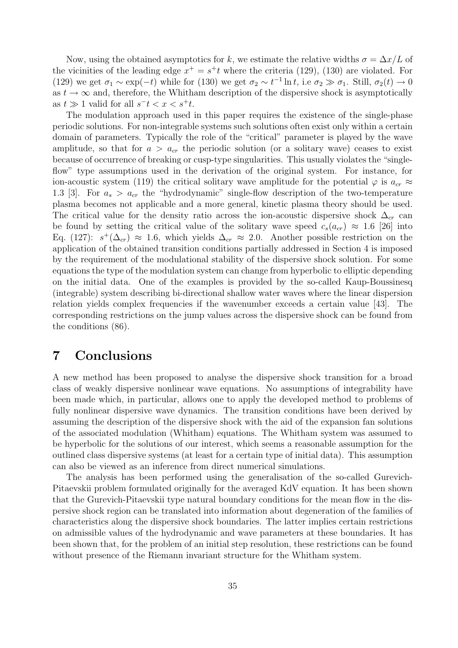Now, using the obtained asymptotics for k, we estimate the relative widths  $\sigma = \Delta x/L$  of the vicinities of the leading edge  $x^+ = s^+t$  where the criteria (129), (130) are violated. For (129) we get  $\sigma_1 \sim \exp(-t)$  while for (130) we get  $\sigma_2 \sim t^{-1} \ln t$ , i.e  $\sigma_2 \gg \sigma_1$ . Still,  $\sigma_2(t) \to 0$ as  $t \to \infty$  and, therefore, the Whitham description of the dispersive shock is asymptotically as  $t \gg 1$  valid for all  $s^-t < x < s^+t$ .

The modulation approach used in this paper requires the existence of the single-phase periodic solutions. For non-integrable systems such solutions often exist only within a certain domain of parameters. Typically the role of the "critical" parameter is played by the wave amplitude, so that for  $a > a_{cr}$  the periodic solution (or a solitary wave) ceases to exist because of occurrence of breaking or cusp-type singularities. This usually violates the "singleflow" type assumptions used in the derivation of the original system. For instance, for ion-acoustic system (119) the critical solitary wave amplitude for the potential  $\varphi$  is  $a_{cr} \approx$ 1.3 [3]. For  $a_s > a_{cr}$  the "hydrodynamic" single-flow description of the two-temperature plasma becomes not applicable and a more general, kinetic plasma theory should be used. The critical value for the density ratio across the ion-acoustic dispersive shock  $\Delta_{cr}$  can be found by setting the critical value of the solitary wave speed  $c_s(a_{cr}) \approx 1.6$  [26] into Eq. (127):  $s^+(\Delta_{cr}) \approx 1.6$ , which yields  $\Delta_{cr} \approx 2.0$ . Another possible restriction on the application of the obtained transition conditions partially addressed in Section 4 is imposed by the requirement of the modulational stability of the dispersive shock solution. For some equations the type of the modulation system can change from hyperbolic to elliptic depending on the initial data. One of the examples is provided by the so-called Kaup-Boussinesq (integrable) system describing bi-directional shallow water waves where the linear dispersion relation yields complex frequencies if the wavenumber exceeds a certain value [43]. The corresponding restrictions on the jump values across the dispersive shock can be found from the conditions (86).

### 7 Conclusions

A new method has been proposed to analyse the dispersive shock transition for a broad class of weakly dispersive nonlinear wave equations. No assumptions of integrability have been made which, in particular, allows one to apply the developed method to problems of fully nonlinear dispersive wave dynamics. The transition conditions have been derived by assuming the description of the dispersive shock with the aid of the expansion fan solutions of the associated modulation (Whitham) equations. The Whitham system was assumed to be hyperbolic for the solutions of our interest, which seems a reasonable assumption for the outlined class dispersive systems (at least for a certain type of initial data). This assumption can also be viewed as an inference from direct numerical simulations.

The analysis has been performed using the generalisation of the so-called Gurevich-Pitaevskii problem formulated originally for the averaged KdV equation. It has been shown that the Gurevich-Pitaevskii type natural boundary conditions for the mean flow in the dispersive shock region can be translated into information about degeneration of the families of characteristics along the dispersive shock boundaries. The latter implies certain restrictions on admissible values of the hydrodynamic and wave parameters at these boundaries. It has been shown that, for the problem of an initial step resolution, these restrictions can be found without presence of the Riemann invariant structure for the Whitham system.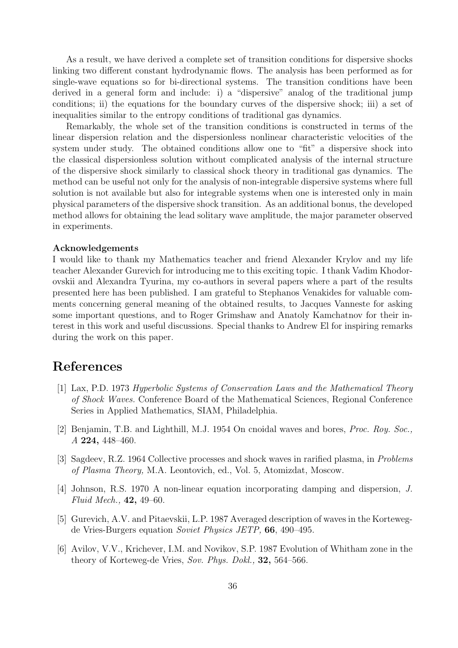As a result, we have derived a complete set of transition conditions for dispersive shocks linking two different constant hydrodynamic flows. The analysis has been performed as for single-wave equations so for bi-directional systems. The transition conditions have been derived in a general form and include: i) a "dispersive" analog of the traditional jump conditions; ii) the equations for the boundary curves of the dispersive shock; iii) a set of inequalities similar to the entropy conditions of traditional gas dynamics.

Remarkably, the whole set of the transition conditions is constructed in terms of the linear dispersion relation and the dispersionless nonlinear characteristic velocities of the system under study. The obtained conditions allow one to "fit" a dispersive shock into the classical dispersionless solution without complicated analysis of the internal structure of the dispersive shock similarly to classical shock theory in traditional gas dynamics. The method can be useful not only for the analysis of non-integrable dispersive systems where full solution is not available but also for integrable systems when one is interested only in main physical parameters of the dispersive shock transition. As an additional bonus, the developed method allows for obtaining the lead solitary wave amplitude, the major parameter observed in experiments.

#### Acknowledgements

I would like to thank my Mathematics teacher and friend Alexander Krylov and my life teacher Alexander Gurevich for introducing me to this exciting topic. I thank Vadim Khodorovskii and Alexandra Tyurina, my co-authors in several papers where a part of the results presented here has been published. I am grateful to Stephanos Venakides for valuable comments concerning general meaning of the obtained results, to Jacques Vanneste for asking some important questions, and to Roger Grimshaw and Anatoly Kamchatnov for their interest in this work and useful discussions. Special thanks to Andrew El for inspiring remarks during the work on this paper.

## References

- [1] Lax, P.D. 1973 Hyperbolic Systems of Conservation Laws and the Mathematical Theory of Shock Waves. Conference Board of the Mathematical Sciences, Regional Conference Series in Applied Mathematics, SIAM, Philadelphia.
- [2] Benjamin, T.B. and Lighthill, M.J. 1954 On cnoidal waves and bores, Proc. Roy. Soc., A 224, 448–460.
- [3] Sagdeev, R.Z. 1964 Collective processes and shock waves in rarified plasma, in Problems of Plasma Theory, M.A. Leontovich, ed., Vol. 5, Atomizdat, Moscow.
- [4] Johnson, R.S. 1970 A non-linear equation incorporating damping and dispersion, J. Fluid Mech.,  $42, 49 - 60$ .
- [5] Gurevich, A.V. and Pitaevskii, L.P. 1987 Averaged description of waves in the Kortewegde Vries-Burgers equation Soviet Physics JETP, 66, 490–495.
- [6] Avilov, V.V., Krichever, I.M. and Novikov, S.P. 1987 Evolution of Whitham zone in the theory of Korteweg-de Vries, Sov. Phys. Dokl., 32, 564–566.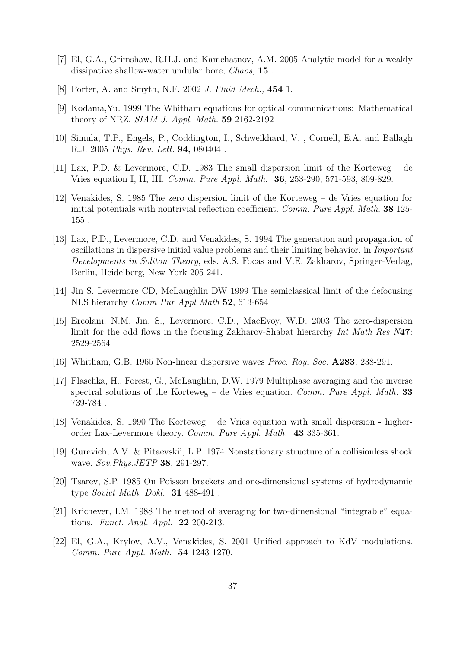- [7] El, G.A., Grimshaw, R.H.J. and Kamchatnov, A.M. 2005 Analytic model for a weakly dissipative shallow-water undular bore, *Chaos*, **15**.
- [8] Porter, A. and Smyth, N.F. 2002 J. Fluid Mech., 454 1.
- [9] Kodama,Yu. 1999 The Whitham equations for optical communications: Mathematical theory of NRZ. SIAM J. Appl. Math. 59 2162-2192
- [10] Simula, T.P., Engels, P., Coddington, I., Schweikhard, V. , Cornell, E.A. and Ballagh R.J. 2005 Phys. Rev. Lett. 94, 080404 .
- [11] Lax, P.D. & Levermore, C.D. 1983 The small dispersion limit of the Korteweg de Vries equation I, II, III. Comm. Pure Appl. Math. 36, 253-290, 571-593, 809-829.
- [12] Venakides, S. 1985 The zero dispersion limit of the Korteweg de Vries equation for initial potentials with nontrivial reflection coefficient. Comm. Pure Appl. Math. 38 125-155 .
- [13] Lax, P.D., Levermore, C.D. and Venakides, S. 1994 The generation and propagation of oscillations in dispersive initial value problems and their limiting behavior, in Important Developments in Soliton Theory, eds. A.S. Focas and V.E. Zakharov, Springer-Verlag, Berlin, Heidelberg, New York 205-241.
- [14] Jin S, Levermore CD, McLaughlin DW 1999 The semiclassical limit of the defocusing NLS hierarchy Comm Pur Appl Math 52, 613-654
- [15] Ercolani, N.M, Jin, S., Levermore. C.D., MacEvoy, W.D. 2003 The zero-dispersion limit for the odd flows in the focusing Zakharov-Shabat hierarchy Int Math Res N47: 2529-2564
- [16] Whitham, G.B. 1965 Non-linear dispersive waves *Proc. Roy. Soc.* **A283**, 238-291.
- [17] Flaschka, H., Forest, G., McLaughlin, D.W. 1979 Multiphase averaging and the inverse spectral solutions of the Korteweg – de Vries equation. Comm. Pure Appl. Math. 33 739-784 .
- [18] Venakides, S. 1990 The Korteweg de Vries equation with small dispersion higherorder Lax-Levermore theory. Comm. Pure Appl. Math. 43 335-361.
- [19] Gurevich, A.V. & Pitaevskii, L.P. 1974 Nonstationary structure of a collisionless shock wave. Sov. Phys. JETP 38, 291-297.
- [20] Tsarev, S.P. 1985 On Poisson brackets and one-dimensional systems of hydrodynamic type Soviet Math. Dokl. 31 488-491 .
- [21] Krichever, I.M. 1988 The method of averaging for two-dimensional "integrable" equations. Funct. Anal. Appl. 22 200-213.
- [22] El, G.A., Krylov, A.V., Venakides, S. 2001 Unified approach to KdV modulations. Comm. Pure Appl. Math. 54 1243-1270.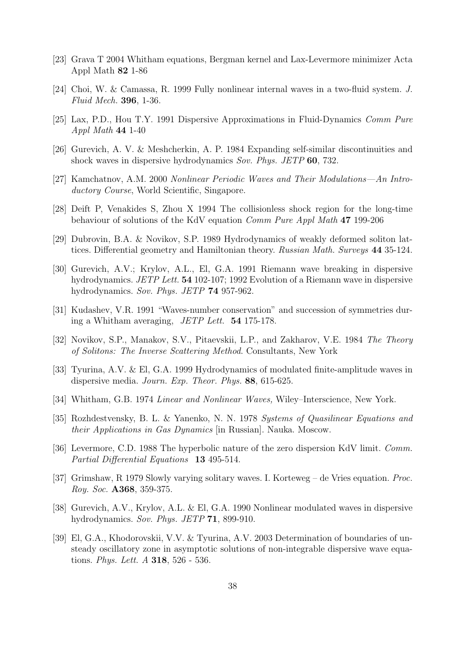- [23] Grava T 2004 Whitham equations, Bergman kernel and Lax-Levermore minimizer Acta Appl Math 82 1-86
- [24] Choi, W. & Camassa, R. 1999 Fully nonlinear internal waves in a two-fluid system. J. Fluid Mech. 396, 1-36.
- [25] Lax, P.D., Hou T.Y. 1991 Dispersive Approximations in Fluid-Dynamics Comm Pure Appl Math 44 1-40
- [26] Gurevich, A. V. & Meshcherkin, A. P. 1984 Expanding self-similar discontinuities and shock waves in dispersive hydrodynamics Sov. Phys. JETP 60, 732.
- [27] Kamchatnov, A.M. 2000 Nonlinear Periodic Waves and Their Modulations—An Introductory Course, World Scientific, Singapore.
- [28] Deift P, Venakides S, Zhou X 1994 The collisionless shock region for the long-time behaviour of solutions of the KdV equation Comm Pure Appl Math 47 199-206
- [29] Dubrovin, B.A. & Novikov, S.P. 1989 Hydrodynamics of weakly deformed soliton lattices. Differential geometry and Hamiltonian theory. Russian Math. Surveys 44 35-124.
- [30] Gurevich, A.V.; Krylov, A.L., El, G.A. 1991 Riemann wave breaking in dispersive hydrodynamics. JETP Lett. 54 102-107; 1992 Evolution of a Riemann wave in dispersive hydrodynamics. Sov. Phys. JETP 74 957-962.
- [31] Kudashev, V.R. 1991 "Waves-number conservation" and succession of symmetries during a Whitham averaging, JETP Lett. 54 175-178.
- [32] Novikov, S.P., Manakov, S.V., Pitaevskii, L.P., and Zakharov, V.E. 1984 The Theory of Solitons: The Inverse Scattering Method. Consultants, New York
- [33] Tyurina, A.V. & El, G.A. 1999 Hydrodynamics of modulated finite-amplitude waves in dispersive media. Journ. Exp. Theor. Phys. 88, 615-625.
- [34] Whitham, G.B. 1974 Linear and Nonlinear Waves, Wiley–Interscience, New York.
- [35] Rozhdestvensky, B. L. & Yanenko, N. N. 1978 Systems of Quasilinear Equations and their Applications in Gas Dynamics [in Russian]. Nauka. Moscow.
- [36] Levermore, C.D. 1988 The hyperbolic nature of the zero dispersion KdV limit. Comm. Partial Differential Equations 13 495-514.
- [37] Grimshaw, R 1979 Slowly varying solitary waves. I. Korteweg de Vries equation. Proc. Roy. Soc. A368, 359-375.
- [38] Gurevich, A.V., Krylov, A.L. & El, G.A. 1990 Nonlinear modulated waves in dispersive hydrodynamics. Sov. Phys. JETP 71, 899-910.
- [39] El, G.A., Khodorovskii, V.V. & Tyurina, A.V. 2003 Determination of boundaries of unsteady oscillatory zone in asymptotic solutions of non-integrable dispersive wave equations. Phys. Lett. A 318, 526 - 536.